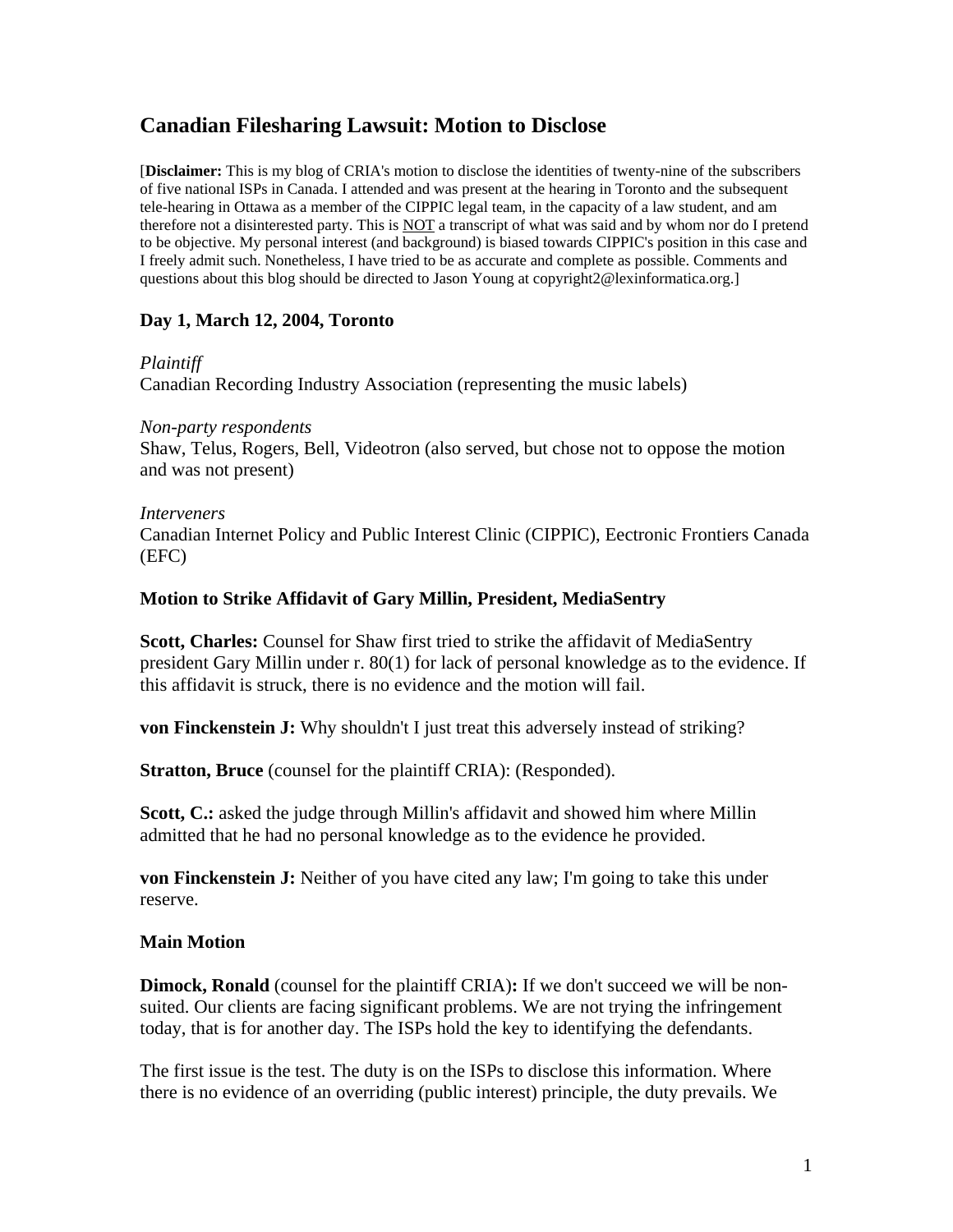# **Canadian Filesharing Lawsuit: Motion to Disclose**

[**Disclaimer:** This is my blog of CRIA's motion to disclose the identities of twenty-nine of the subscribers of five national ISPs in Canada. I attended and was present at the hearing in Toronto and the subsequent tele-hearing in Ottawa as a member of the CIPPIC legal team, in the capacity of a law student, and am therefore not a disinterested party. This is NOT a transcript of what was said and by whom nor do I pretend to be objective. My personal interest (and background) is biased towards CIPPIC's position in this case and I freely admit such. Nonetheless, I have tried to be as accurate and complete as possible. Comments and questions about this blog should be directed to Jason Young at copyright2@lexinformatica.org.]

## **Day 1, March 12, 2004, Toronto**

## *Plaintiff*

Canadian Recording Industry Association (representing the music labels)

## *Non-party respondents*

Shaw, Telus, Rogers, Bell, Videotron (also served, but chose not to oppose the motion and was not present)

### *Interveners*

Canadian Internet Policy and Public Interest Clinic (CIPPIC), Eectronic Frontiers Canada (EFC)

## **Motion to Strike Affidavit of Gary Millin, President, MediaSentry**

**Scott, Charles:** Counsel for Shaw first tried to strike the affidavit of MediaSentry president Gary Millin under r. 80(1) for lack of personal knowledge as to the evidence. If this affidavit is struck, there is no evidence and the motion will fail.

**von Finckenstein J:** Why shouldn't I just treat this adversely instead of striking?

**Stratton, Bruce** (counsel for the plaintiff CRIA): (Responded).

**Scott, C.:** asked the judge through Millin's affidavit and showed him where Millin admitted that he had no personal knowledge as to the evidence he provided.

**von Finckenstein J:** Neither of you have cited any law; I'm going to take this under reserve.

## **Main Motion**

**Dimock, Ronald** (counsel for the plaintiff CRIA)**:** If we don't succeed we will be nonsuited. Our clients are facing significant problems. We are not trying the infringement today, that is for another day. The ISPs hold the key to identifying the defendants.

The first issue is the test. The duty is on the ISPs to disclose this information. Where there is no evidence of an overriding (public interest) principle, the duty prevails. We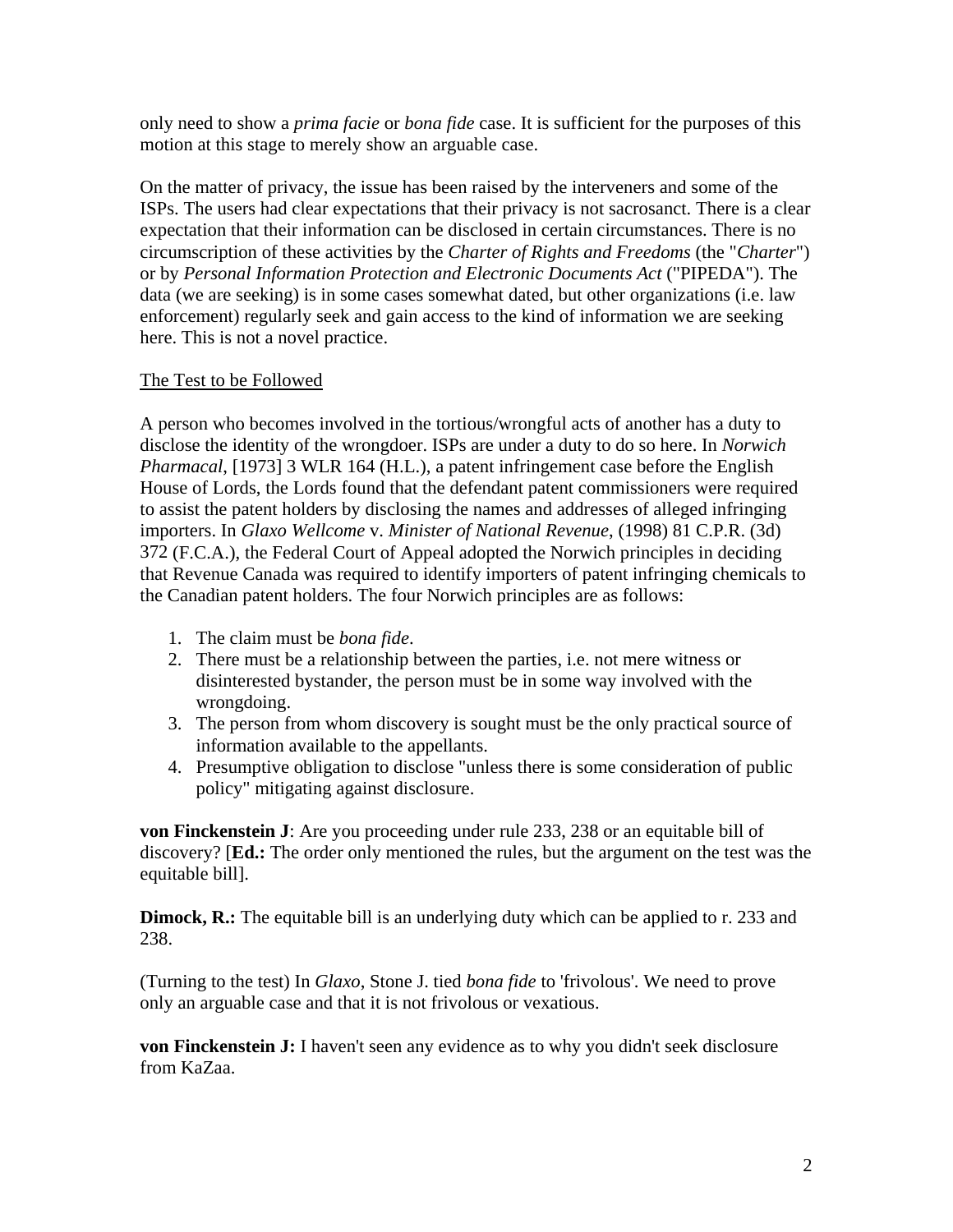only need to show a *prima facie* or *bona fide* case. It is sufficient for the purposes of this motion at this stage to merely show an arguable case.

On the matter of privacy, the issue has been raised by the interveners and some of the ISPs. The users had clear expectations that their privacy is not sacrosanct. There is a clear expectation that their information can be disclosed in certain circumstances. There is no circumscription of these activities by the *Charter of Rights and Freedoms* (the "*Charter*") or by *Personal Information Protection and Electronic Documents Act* ("PIPEDA"). The data (we are seeking) is in some cases somewhat dated, but other organizations (i.e. law enforcement) regularly seek and gain access to the kind of information we are seeking here. This is not a novel practice.

## The Test to be Followed

A person who becomes involved in the tortious/wrongful acts of another has a duty to disclose the identity of the wrongdoer. ISPs are under a duty to do so here. In *Norwich Pharmacal*, [1973] 3 WLR 164 (H.L.), a patent infringement case before the English House of Lords, the Lords found that the defendant patent commissioners were required to assist the patent holders by disclosing the names and addresses of alleged infringing importers. In *Glaxo Wellcome* v. *Minister of National Revenue*, (1998) [81 C.P.R. \(3d\)](http://ql.quicklaw.com/servlet/qlwbic.qlwbi?qlsid=C1ZfurbJMHnkJMHx&qlcid=00003&qlvrb=QL002&UGET=Q0325755,CPR%20)  [372](http://ql.quicklaw.com/servlet/qlwbic.qlwbi?qlsid=C1ZfurbJMHnkJMHx&qlcid=00003&qlvrb=QL002&UGET=Q0325755,CPR%20) (F.C.A.), the Federal Court of Appeal adopted the Norwich principles in deciding that Revenue Canada was required to identify importers of patent infringing chemicals to the Canadian patent holders. The four Norwich principles are as follows:

- 1. The claim must be *bona fide*.
- 2. There must be a relationship between the parties, i.e. not mere witness or disinterested bystander, the person must be in some way involved with the wrongdoing.
- 3. The person from whom discovery is sought must be the only practical source of information available to the appellants.
- 4. Presumptive obligation to disclose "unless there is some consideration of public policy" mitigating against disclosure.

**von Finckenstein J**: Are you proceeding under rule 233, 238 or an equitable bill of discovery? [**Ed.:** The order only mentioned the rules, but the argument on the test was the equitable bill].

**Dimock, R.:** The equitable bill is an underlying duty which can be applied to r. 233 and 238.

(Turning to the test) In *Glaxo*, Stone J. tied *bona fide* to 'frivolous'. We need to prove only an arguable case and that it is not frivolous or vexatious.

**von Finckenstein J:** I haven't seen any evidence as to why you didn't seek disclosure from KaZaa.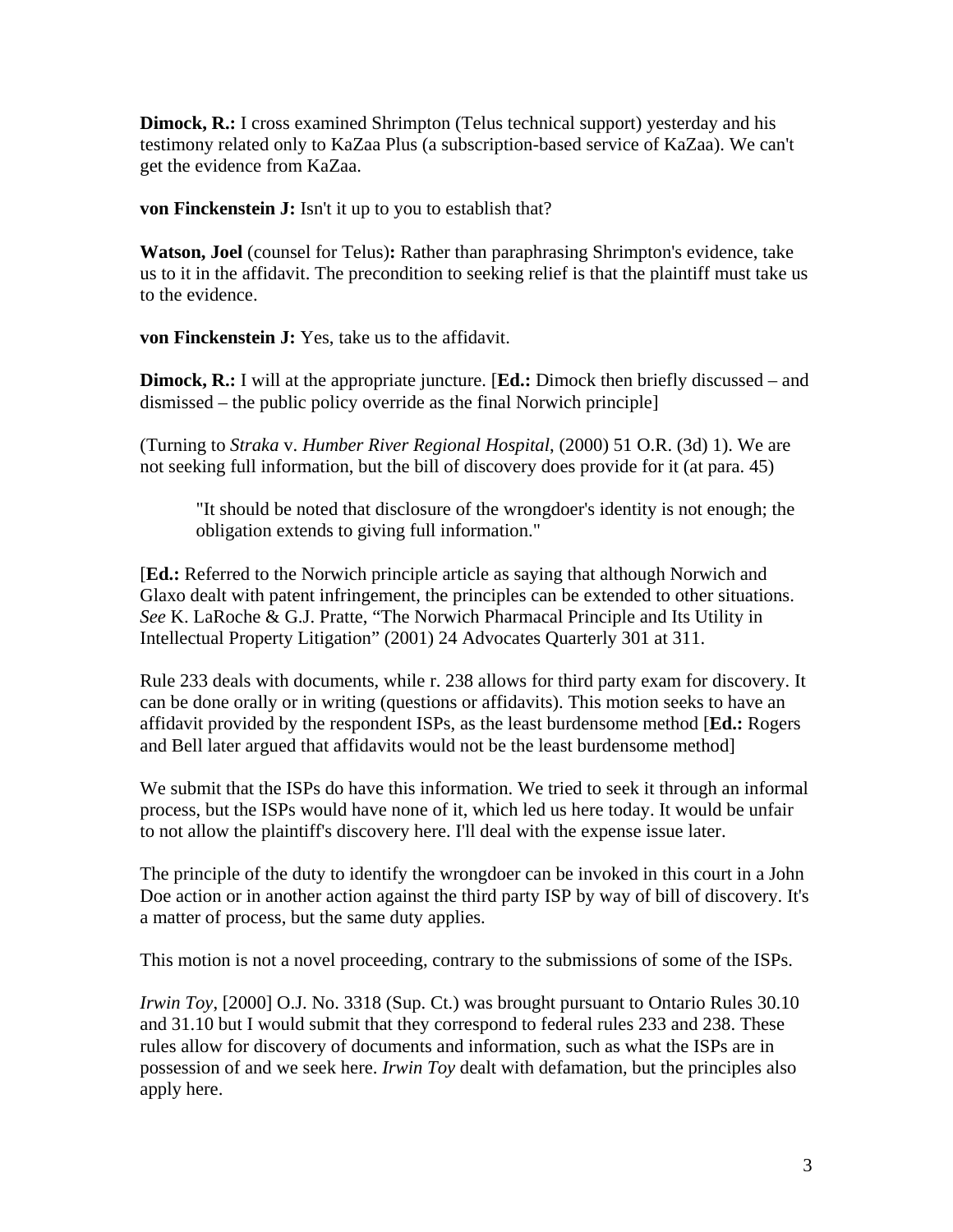**Dimock, R.:** I cross examined Shrimpton (Telus technical support) yesterday and his testimony related only to KaZaa Plus (a subscription-based service of KaZaa). We can't get the evidence from KaZaa.

**von Finckenstein J:** Isn't it up to you to establish that?

**Watson, Joel** (counsel for Telus)**:** Rather than paraphrasing Shrimpton's evidence, take us to it in the affidavit. The precondition to seeking relief is that the plaintiff must take us to the evidence.

**von Finckenstein J:** Yes, take us to the affidavit.

**Dimock, R.:** I will at the appropriate juncture. [**Ed.:** Dimock then briefly discussed – and dismissed – the public policy override as the final Norwich principle]

(Turning to *Straka* v. *Humber River Regional Hospital*, (2000) 51 O.R. (3d) 1). We are not seeking full information, but the bill of discovery does provide for it (at para. 45)

"It should be noted that disclosure of the wrongdoer's identity is not enough; the obligation extends to giving full information."

[**Ed.:** Referred to the Norwich principle article as saying that although Norwich and Glaxo dealt with patent infringement, the principles can be extended to other situations. *See* K. LaRoche & G.J. Pratte, "The Norwich Pharmacal Principle and Its Utility in Intellectual Property Litigation" (2001) 24 Advocates Quarterly 301 at 311.

Rule 233 deals with documents, while r. 238 allows for third party exam for discovery. It can be done orally or in writing (questions or affidavits). This motion seeks to have an affidavit provided by the respondent ISPs, as the least burdensome method [**Ed.:** Rogers and Bell later argued that affidavits would not be the least burdensome method]

We submit that the ISPs do have this information. We tried to seek it through an informal process, but the ISPs would have none of it, which led us here today. It would be unfair to not allow the plaintiff's discovery here. I'll deal with the expense issue later.

The principle of the duty to identify the wrongdoer can be invoked in this court in a John Doe action or in another action against the third party ISP by way of bill of discovery. It's a matter of process, but the same duty applies.

This motion is not a novel proceeding, contrary to the submissions of some of the ISPs.

*Irwin Toy*, [2000] O.J. No. 3318 (Sup. Ct.) was brought pursuant to Ontario Rules 30.10 and 31.10 but I would submit that they correspond to federal rules 233 and 238. These rules allow for discovery of documents and information, such as what the ISPs are in possession of and we seek here. *Irwin Toy* dealt with defamation, but the principles also apply here.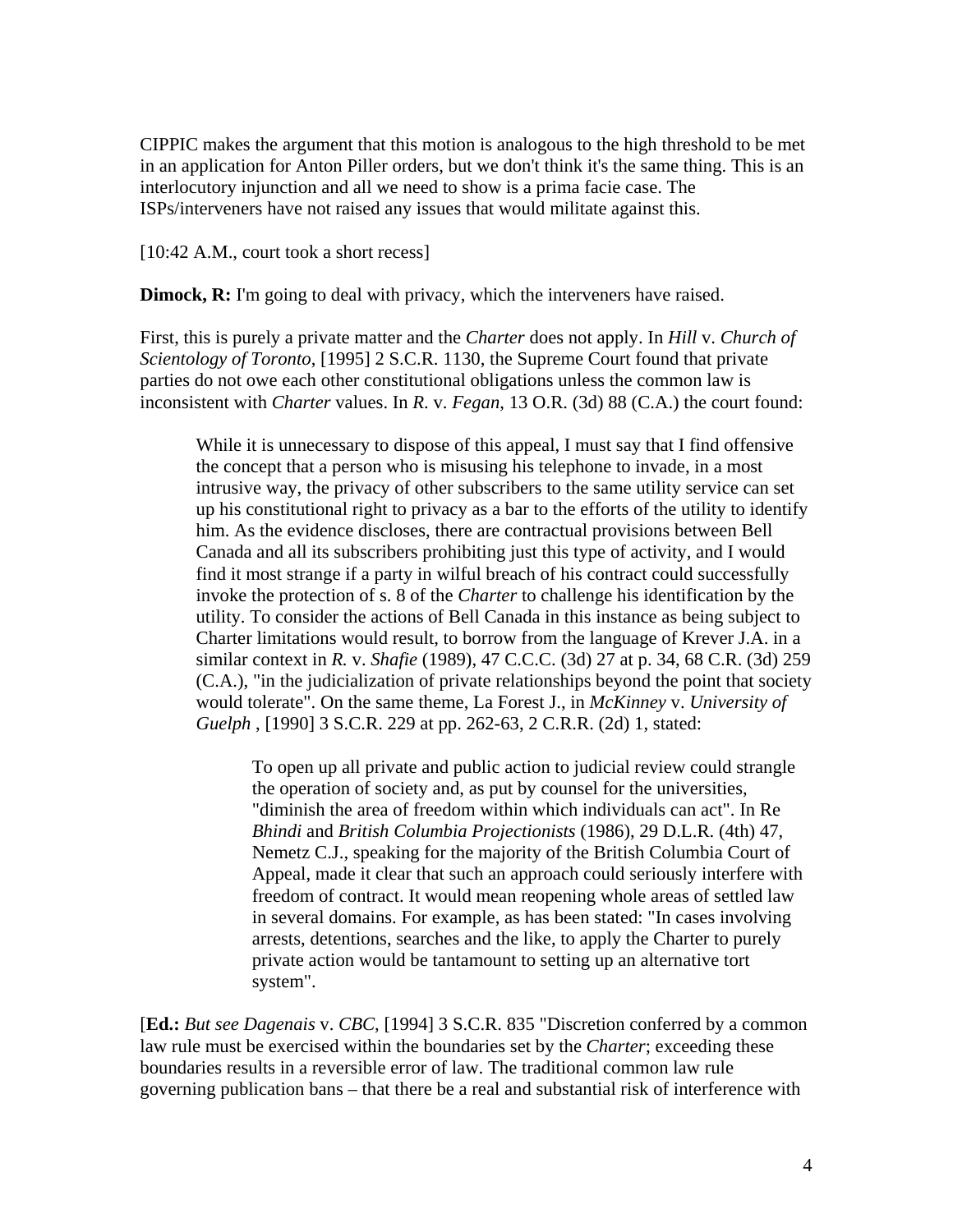CIPPIC makes the argument that this motion is analogous to the high threshold to be met in an application for Anton Piller orders, but we don't think it's the same thing. This is an interlocutory injunction and all we need to show is a prima facie case. The ISPs/interveners have not raised any issues that would militate against this.

[10:42 A.M., court took a short recess]

**Dimock, R:** I'm going to deal with privacy, which the interveners have raised.

First, this is purely a private matter and the *Charter* does not apply. In *Hill* v. *Church of Scientology of Toronto*, [1995] 2 S.C.R. 1130, the Supreme Court found that private parties do not owe each other constitutional obligations unless the common law is inconsistent with *Charter* values. In *R*. v. *Fegan*, 13 O.R. (3d) 88 (C.A.) the court found:

While it is unnecessary to dispose of this appeal, I must say that I find offensive the concept that a person who is misusing his telephone to invade, in a most intrusive way, the privacy of other subscribers to the same utility service can set up his constitutional right to privacy as a bar to the efforts of the utility to identify him. As the evidence discloses, there are contractual provisions between Bell Canada and all its subscribers prohibiting just this type of activity, and I would find it most strange if a party in wilful breach of his contract could successfully invoke the protection of s. 8 of the *Charter* to challenge his identification by the utility. To consider the actions of Bell Canada in this instance as being subject to Charter limitations would result, to borrow from the language of Krever J.A. in a similar context in *R.* v. *Shafie* (1989), 47 C.C.C. (3d) 27 at p. 34, 68 C.R. (3d) 259 (C.A.), "in the judicialization of private relationships beyond the point that society would tolerate". On the same theme, La Forest J., in *McKinney* v. *University of Guelph* , [1990] 3 S.C.R. 229 at pp. 262-63, 2 C.R.R. (2d) 1, stated:

To open up all private and public action to judicial review could strangle the operation of society and, as put by counsel for the universities, "diminish the area of freedom within which individuals can act". In Re *Bhindi* and *British Columbia Projectionists* (1986), 29 D.L.R. (4th) 47, Nemetz C.J., speaking for the majority of the British Columbia Court of Appeal, made it clear that such an approach could seriously interfere with freedom of contract. It would mean reopening whole areas of settled law in several domains. For example, as has been stated: "In cases involving arrests, detentions, searches and the like, to apply the Charter to purely private action would be tantamount to setting up an alternative tort system".

[**Ed.:** *But see Dagenais* v. *CBC*, [1994] 3 S.C.R. 835 "Discretion conferred by a common law rule must be exercised within the boundaries set by the *Charter*; exceeding these boundaries results in a reversible error of law. The traditional common law rule governing publication bans – that there be a real and substantial risk of interference with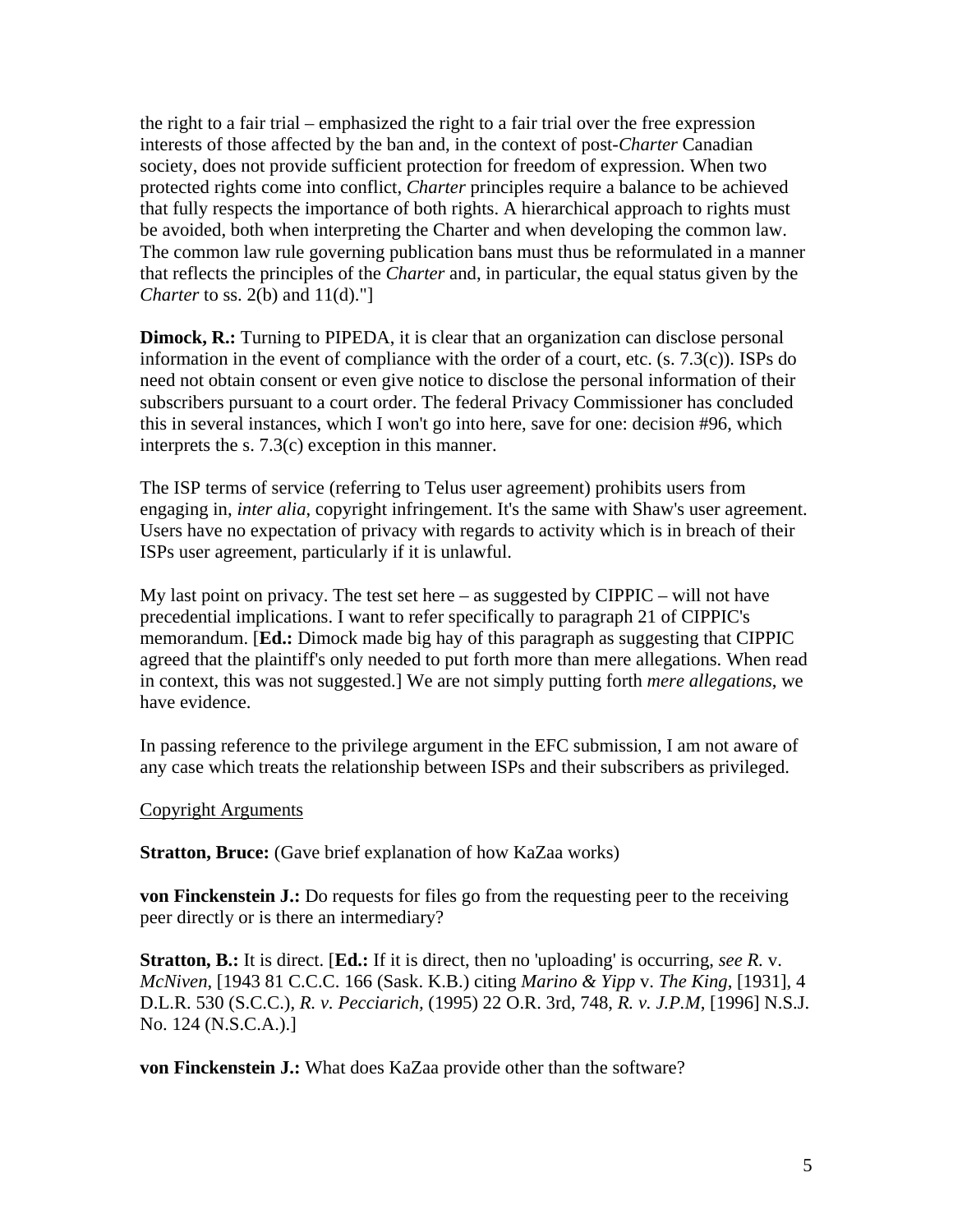the right to a fair trial – emphasized the right to a fair trial over the free expression interests of those affected by the ban and, in the context of post-*Charter* Canadian society, does not provide sufficient protection for freedom of expression. When two protected rights come into conflict, *Charter* principles require a balance to be achieved that fully respects the importance of both rights. A hierarchical approach to rights must be avoided, both when interpreting the Charter and when developing the common law. The common law rule governing publication bans must thus be reformulated in a manner that reflects the principles of the *Charter* and, in particular, the equal status given by the *Charter* to ss. 2(b) and 11(d)."

**Dimock, R.:** Turning to PIPEDA, it is clear that an organization can disclose personal information in the event of compliance with the order of a court, etc. (s. 7.3(c)). ISPs do need not obtain consent or even give notice to disclose the personal information of their subscribers pursuant to a court order. The federal Privacy Commissioner has concluded this in several instances, which I won't go into here, save for one: decision #96, which interprets the s. 7.3(c) exception in this manner.

The ISP terms of service (referring to Telus user agreement) prohibits users from engaging in, *inter alia*, copyright infringement. It's the same with Shaw's user agreement. Users have no expectation of privacy with regards to activity which is in breach of their ISPs user agreement, particularly if it is unlawful.

My last point on privacy. The test set here  $-$  as suggested by CIPPIC  $-$  will not have precedential implications. I want to refer specifically to paragraph 21 of CIPPIC's memorandum. [**Ed.:** Dimock made big hay of this paragraph as suggesting that CIPPIC agreed that the plaintiff's only needed to put forth more than mere allegations. When read in context, this was not suggested.] We are not simply putting forth *mere allegations*, we have evidence.

In passing reference to the privilege argument in the EFC submission, I am not aware of any case which treats the relationship between ISPs and their subscribers as privileged.

### Copyright Arguments

**Stratton, Bruce:** (Gave brief explanation of how KaZaa works)

**von Finckenstein J.:** Do requests for files go from the requesting peer to the receiving peer directly or is there an intermediary?

**Stratton, B.:** It is direct. [**Ed.:** If it is direct, then no 'uploading' is occurring, *see R.* v. *McNiven*, [1943 81 C.C.C. 166 (Sask. K.B.) citing *Marino & Yipp* v. *The King*, [1931], 4 D.L.R. 530 (S.C.C.), *R. v. Pecciarich,* (1995) 22 O.R. 3rd, 748, *R. v. J.P.M*, [1996] N.S.J. No. 124 (N.S.C.A.).]

**von Finckenstein J.:** What does KaZaa provide other than the software?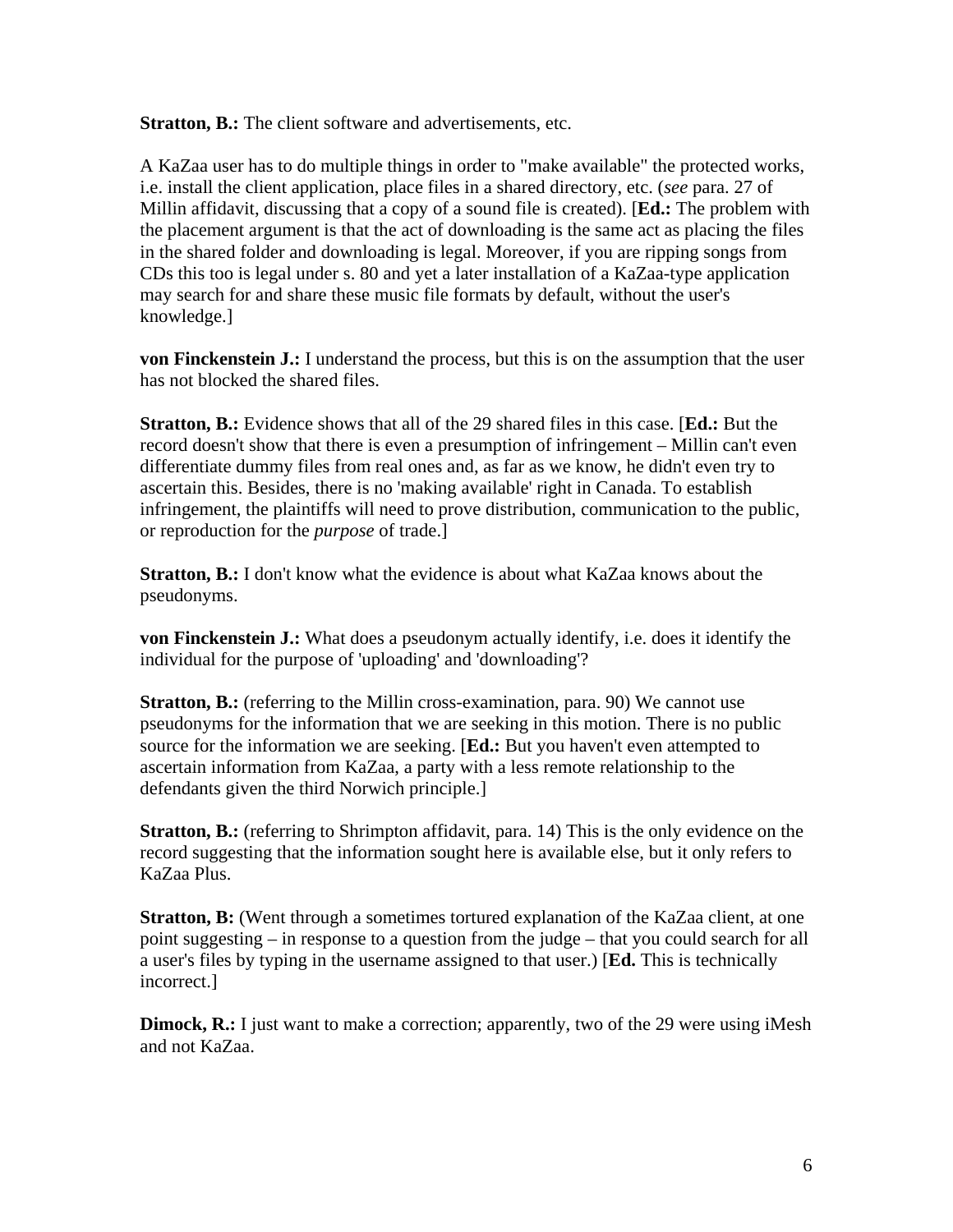**Stratton, B.:** The client software and advertisements, etc.

A KaZaa user has to do multiple things in order to "make available" the protected works, i.e. install the client application, place files in a shared directory, etc. (*see* para. 27 of Millin affidavit, discussing that a copy of a sound file is created). [**Ed.:** The problem with the placement argument is that the act of downloading is the same act as placing the files in the shared folder and downloading is legal. Moreover, if you are ripping songs from CDs this too is legal under s. 80 and yet a later installation of a KaZaa-type application may search for and share these music file formats by default, without the user's knowledge.]

**von Finckenstein J.:** I understand the process, but this is on the assumption that the user has not blocked the shared files.

**Stratton, B.:** Evidence shows that all of the 29 shared files in this case. [**Ed.:** But the record doesn't show that there is even a presumption of infringement – Millin can't even differentiate dummy files from real ones and, as far as we know, he didn't even try to ascertain this. Besides, there is no 'making available' right in Canada. To establish infringement, the plaintiffs will need to prove distribution, communication to the public, or reproduction for the *purpose* of trade.]

**Stratton, B.:** I don't know what the evidence is about what KaZaa knows about the pseudonyms.

**von Finckenstein J.:** What does a pseudonym actually identify, i.e. does it identify the individual for the purpose of 'uploading' and 'downloading'?

**Stratton, B.:** (referring to the Millin cross-examination, para. 90) We cannot use pseudonyms for the information that we are seeking in this motion. There is no public source for the information we are seeking. [**Ed.:** But you haven't even attempted to ascertain information from KaZaa, a party with a less remote relationship to the defendants given the third Norwich principle.]

**Stratton, B.:** (referring to Shrimpton affidavit, para. 14) This is the only evidence on the record suggesting that the information sought here is available else, but it only refers to KaZaa Plus.

**Stratton, B:** (Went through a sometimes tortured explanation of the KaZaa client, at one point suggesting – in response to a question from the judge – that you could search for all a user's files by typing in the username assigned to that user.) [**Ed.** This is technically incorrect.]

**Dimock, R.:** I just want to make a correction; apparently, two of the 29 were using iMesh and not KaZaa.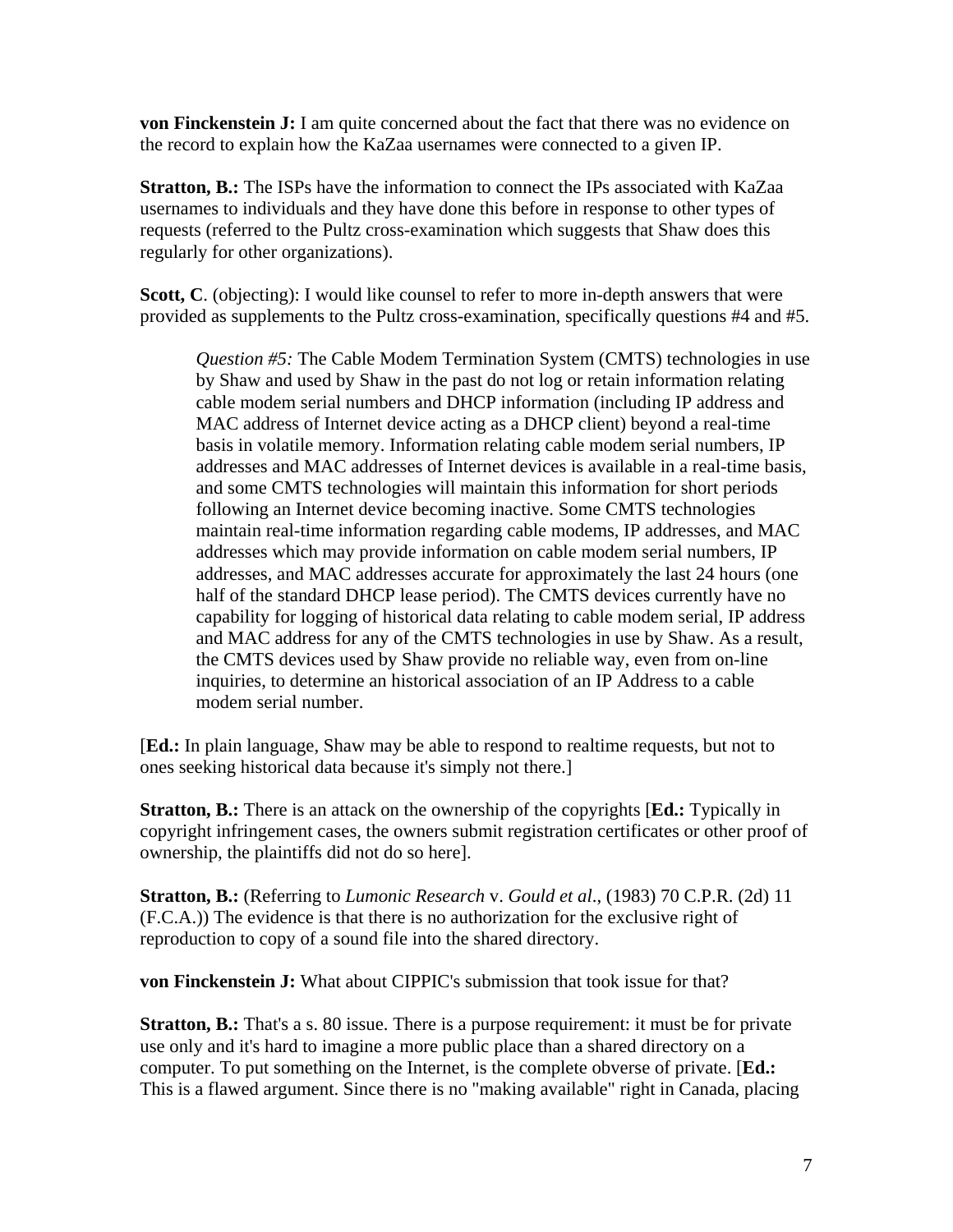**von Finckenstein J:** I am quite concerned about the fact that there was no evidence on the record to explain how the KaZaa usernames were connected to a given IP.

**Stratton, B.:** The ISPs have the information to connect the IPs associated with KaZaa usernames to individuals and they have done this before in response to other types of requests (referred to the Pultz cross-examination which suggests that Shaw does this regularly for other organizations).

**Scott, C**. (objecting): I would like counsel to refer to more in-depth answers that were provided as supplements to the Pultz cross-examination, specifically questions #4 and #5.

*Question #5:* The Cable Modem Termination System (CMTS) technologies in use by Shaw and used by Shaw in the past do not log or retain information relating cable modem serial numbers and DHCP information (including IP address and MAC address of Internet device acting as a DHCP client) beyond a real-time basis in volatile memory. Information relating cable modem serial numbers, IP addresses and MAC addresses of Internet devices is available in a real-time basis, and some CMTS technologies will maintain this information for short periods following an Internet device becoming inactive. Some CMTS technologies maintain real-time information regarding cable modems, IP addresses, and MAC addresses which may provide information on cable modem serial numbers, IP addresses, and MAC addresses accurate for approximately the last 24 hours (one half of the standard DHCP lease period). The CMTS devices currently have no capability for logging of historical data relating to cable modem serial, IP address and MAC address for any of the CMTS technologies in use by Shaw. As a result, the CMTS devices used by Shaw provide no reliable way, even from on-line inquiries, to determine an historical association of an IP Address to a cable modem serial number.

[**Ed.:** In plain language, Shaw may be able to respond to realtime requests, but not to ones seeking historical data because it's simply not there.]

**Stratton, B.:** There is an attack on the ownership of the copyrights [**Ed.:** Typically in copyright infringement cases, the owners submit registration certificates or other proof of ownership, the plaintiffs did not do so here].

**Stratton, B.:** (Referring to *Lumonic Research* v. *Gould et al*., (1983) 70 C.P.R. (2d) 11 (F.C.A.)) The evidence is that there is no authorization for the exclusive right of reproduction to copy of a sound file into the shared directory.

**von Finckenstein J:** What about CIPPIC's submission that took issue for that?

**Stratton, B.:** That's a s. 80 issue. There is a purpose requirement: it must be for private use only and it's hard to imagine a more public place than a shared directory on a computer. To put something on the Internet, is the complete obverse of private. [**Ed.:** This is a flawed argument. Since there is no "making available" right in Canada, placing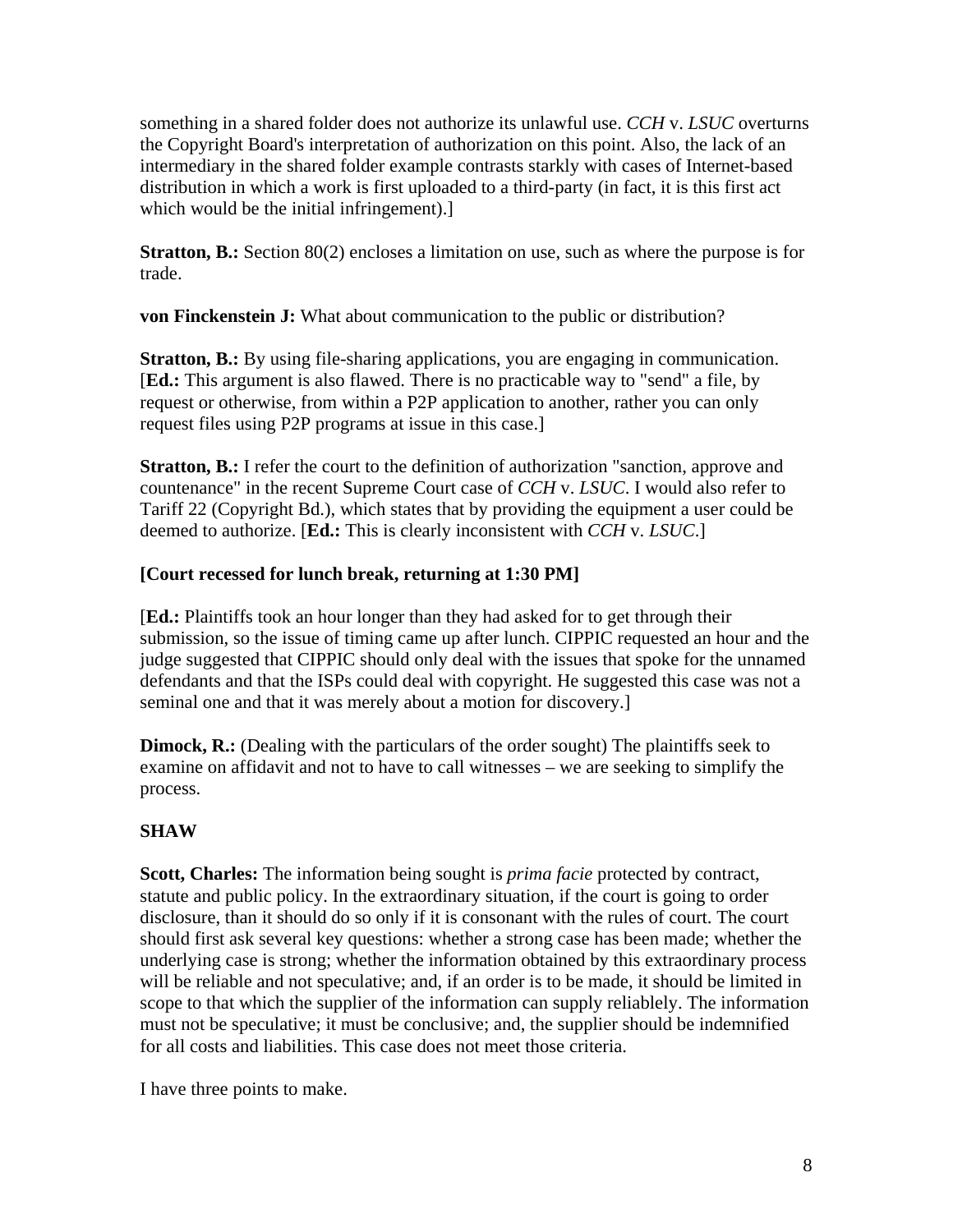something in a shared folder does not authorize its unlawful use. *CCH* v. *LSUC* overturns the Copyright Board's interpretation of authorization on this point. Also, the lack of an intermediary in the shared folder example contrasts starkly with cases of Internet-based distribution in which a work is first uploaded to a third-party (in fact, it is this first act which would be the initial infringement).

**Stratton, B.:** Section 80(2) encloses a limitation on use, such as where the purpose is for trade.

**von Finckenstein J:** What about communication to the public or distribution?

**Stratton, B.:** By using file-sharing applications, you are engaging in communication. [**Ed.:** This argument is also flawed. There is no practicable way to "send" a file, by request or otherwise, from within a P2P application to another, rather you can only request files using P2P programs at issue in this case.]

**Stratton, B.:** I refer the court to the definition of authorization "sanction, approve and countenance" in the recent Supreme Court case of *CCH* v. *LSUC*. I would also refer to Tariff 22 (Copyright Bd.), which states that by providing the equipment a user could be deemed to authorize. [**Ed.:** This is clearly inconsistent with *CCH* v. *LSUC*.]

## **[Court recessed for lunch break, returning at 1:30 PM]**

[**Ed.:** Plaintiffs took an hour longer than they had asked for to get through their submission, so the issue of timing came up after lunch. CIPPIC requested an hour and the judge suggested that CIPPIC should only deal with the issues that spoke for the unnamed defendants and that the ISPs could deal with copyright. He suggested this case was not a seminal one and that it was merely about a motion for discovery.]

**Dimock, R.:** (Dealing with the particulars of the order sought) The plaintiffs seek to examine on affidavit and not to have to call witnesses – we are seeking to simplify the process.

## **SHAW**

**Scott, Charles:** The information being sought is *prima facie* protected by contract, statute and public policy. In the extraordinary situation, if the court is going to order disclosure, than it should do so only if it is consonant with the rules of court. The court should first ask several key questions: whether a strong case has been made; whether the underlying case is strong; whether the information obtained by this extraordinary process will be reliable and not speculative; and, if an order is to be made, it should be limited in scope to that which the supplier of the information can supply reliablely. The information must not be speculative; it must be conclusive; and, the supplier should be indemnified for all costs and liabilities. This case does not meet those criteria.

I have three points to make.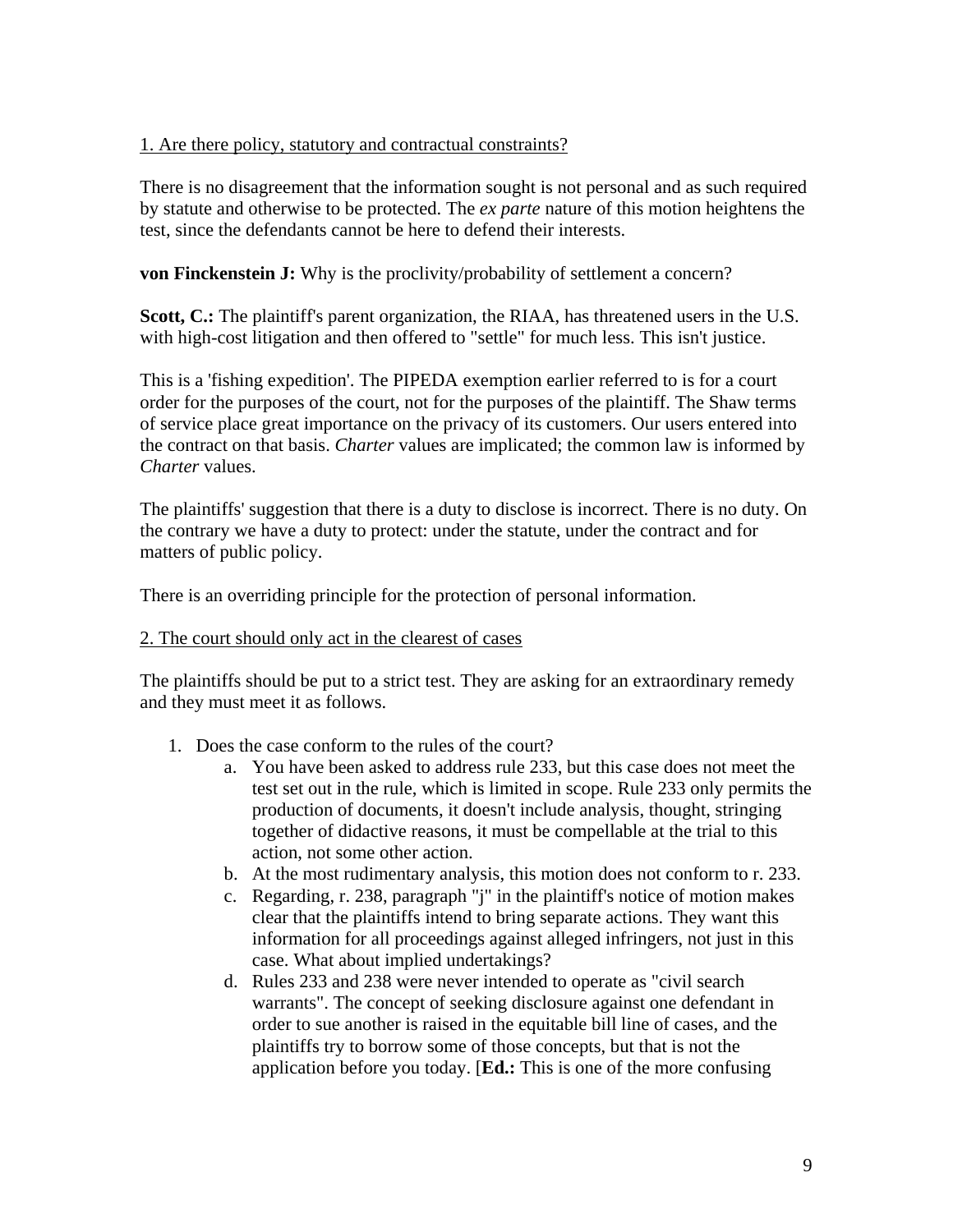## 1. Are there policy, statutory and contractual constraints?

There is no disagreement that the information sought is not personal and as such required by statute and otherwise to be protected. The *ex parte* nature of this motion heightens the test, since the defendants cannot be here to defend their interests.

**von Finckenstein J:** Why is the proclivity/probability of settlement a concern?

Scott, C.: The plaintiff's parent organization, the RIAA, has threatened users in the U.S. with high-cost litigation and then offered to "settle" for much less. This isn't justice.

This is a 'fishing expedition'. The PIPEDA exemption earlier referred to is for a court order for the purposes of the court, not for the purposes of the plaintiff. The Shaw terms of service place great importance on the privacy of its customers. Our users entered into the contract on that basis. *Charter* values are implicated; the common law is informed by *Charter* values.

The plaintiffs' suggestion that there is a duty to disclose is incorrect. There is no duty. On the contrary we have a duty to protect: under the statute, under the contract and for matters of public policy.

There is an overriding principle for the protection of personal information.

### 2. The court should only act in the clearest of cases

The plaintiffs should be put to a strict test. They are asking for an extraordinary remedy and they must meet it as follows.

- 1. Does the case conform to the rules of the court?
	- a. You have been asked to address rule 233, but this case does not meet the test set out in the rule, which is limited in scope. Rule 233 only permits the production of documents, it doesn't include analysis, thought, stringing together of didactive reasons, it must be compellable at the trial to this action, not some other action.
	- b. At the most rudimentary analysis, this motion does not conform to r. 233.
	- c. Regarding, r. 238, paragraph "j" in the plaintiff's notice of motion makes clear that the plaintiffs intend to bring separate actions. They want this information for all proceedings against alleged infringers, not just in this case. What about implied undertakings?
	- d. Rules 233 and 238 were never intended to operate as "civil search warrants". The concept of seeking disclosure against one defendant in order to sue another is raised in the equitable bill line of cases, and the plaintiffs try to borrow some of those concepts, but that is not the application before you today. [**Ed.:** This is one of the more confusing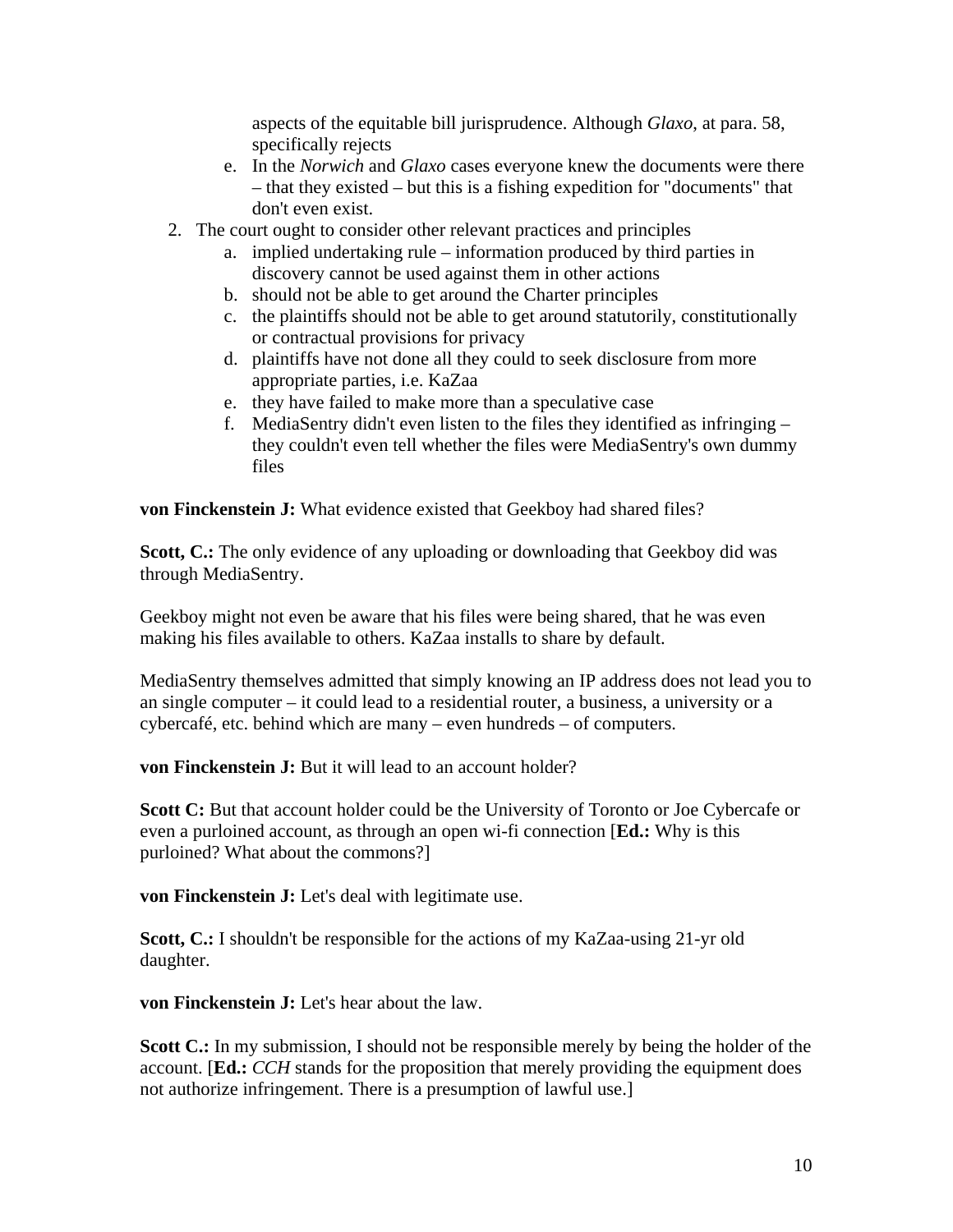aspects of the equitable bill jurisprudence. Although *Glaxo*, at para. 58, specifically rejects

- e. In the *Norwich* and *Glaxo* cases everyone knew the documents were there – that they existed – but this is a fishing expedition for "documents" that don't even exist.
- 2. The court ought to consider other relevant practices and principles
	- a. implied undertaking rule information produced by third parties in discovery cannot be used against them in other actions
	- b. should not be able to get around the Charter principles
	- c. the plaintiffs should not be able to get around statutorily, constitutionally or contractual provisions for privacy
	- d. plaintiffs have not done all they could to seek disclosure from more appropriate parties, i.e. KaZaa
	- e. they have failed to make more than a speculative case
	- f. MediaSentry didn't even listen to the files they identified as infringing they couldn't even tell whether the files were MediaSentry's own dummy files

**von Finckenstein J:** What evidence existed that Geekboy had shared files?

**Scott, C.:** The only evidence of any uploading or downloading that Geekboy did was through MediaSentry.

Geekboy might not even be aware that his files were being shared, that he was even making his files available to others. KaZaa installs to share by default.

MediaSentry themselves admitted that simply knowing an IP address does not lead you to an single computer – it could lead to a residential router, a business, a university or a cybercafé, etc. behind which are many – even hundreds – of computers.

**von Finckenstein J:** But it will lead to an account holder?

**Scott C:** But that account holder could be the University of Toronto or Joe Cybercafe or even a purloined account, as through an open wi-fi connection [**Ed.:** Why is this purloined? What about the commons?]

**von Finckenstein J:** Let's deal with legitimate use.

**Scott, C.:** I shouldn't be responsible for the actions of my KaZaa-using 21-yr old daughter.

**von Finckenstein J:** Let's hear about the law.

**Scott C.:** In my submission, I should not be responsible merely by being the holder of the account. [**Ed.:** *CCH* stands for the proposition that merely providing the equipment does not authorize infringement. There is a presumption of lawful use.]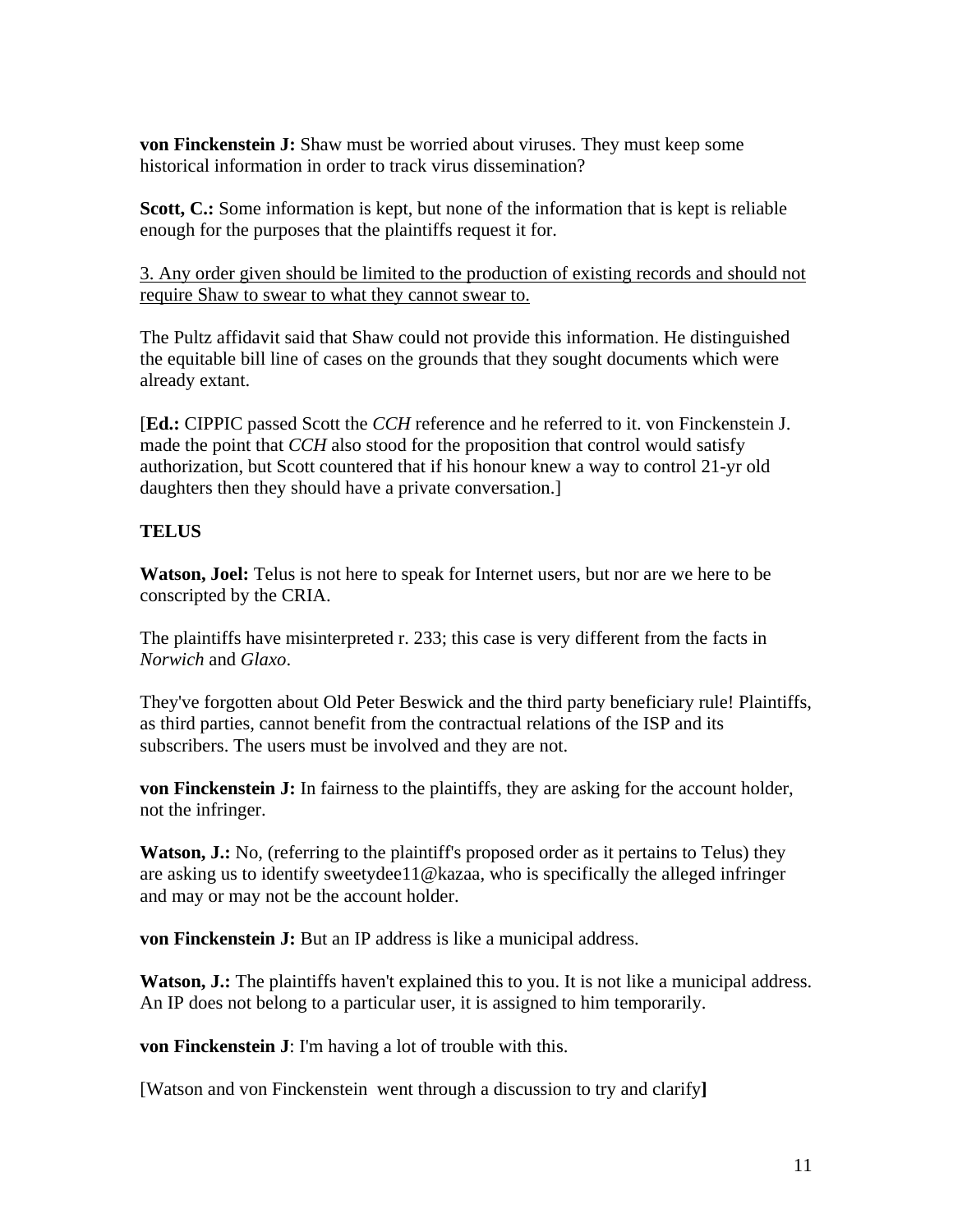**von Finckenstein J:** Shaw must be worried about viruses. They must keep some historical information in order to track virus dissemination?

**Scott, C.:** Some information is kept, but none of the information that is kept is reliable enough for the purposes that the plaintiffs request it for.

3. Any order given should be limited to the production of existing records and should not require Shaw to swear to what they cannot swear to.

The Pultz affidavit said that Shaw could not provide this information. He distinguished the equitable bill line of cases on the grounds that they sought documents which were already extant.

[**Ed.:** CIPPIC passed Scott the *CCH* reference and he referred to it. von Finckenstein J. made the point that *CCH* also stood for the proposition that control would satisfy authorization, but Scott countered that if his honour knew a way to control 21-yr old daughters then they should have a private conversation.]

# **TELUS**

**Watson, Joel:** Telus is not here to speak for Internet users, but nor are we here to be conscripted by the CRIA.

The plaintiffs have misinterpreted r. 233; this case is very different from the facts in *Norwich* and *Glaxo*.

They've forgotten about Old Peter Beswick and the third party beneficiary rule! Plaintiffs, as third parties, cannot benefit from the contractual relations of the ISP and its subscribers. The users must be involved and they are not.

**von Finckenstein J:** In fairness to the plaintiffs, they are asking for the account holder, not the infringer.

**Watson, J.:** No, (referring to the plaintiff's proposed order as it pertains to Telus) they are asking us to identify sweetydee11@kazaa, who is specifically the alleged infringer and may or may not be the account holder.

**von Finckenstein J:** But an IP address is like a municipal address.

**Watson, J.:** The plaintiffs haven't explained this to you. It is not like a municipal address. An IP does not belong to a particular user, it is assigned to him temporarily.

**von Finckenstein J**: I'm having a lot of trouble with this.

[Watson and von Finckenstein went through a discussion to try and clarify**]**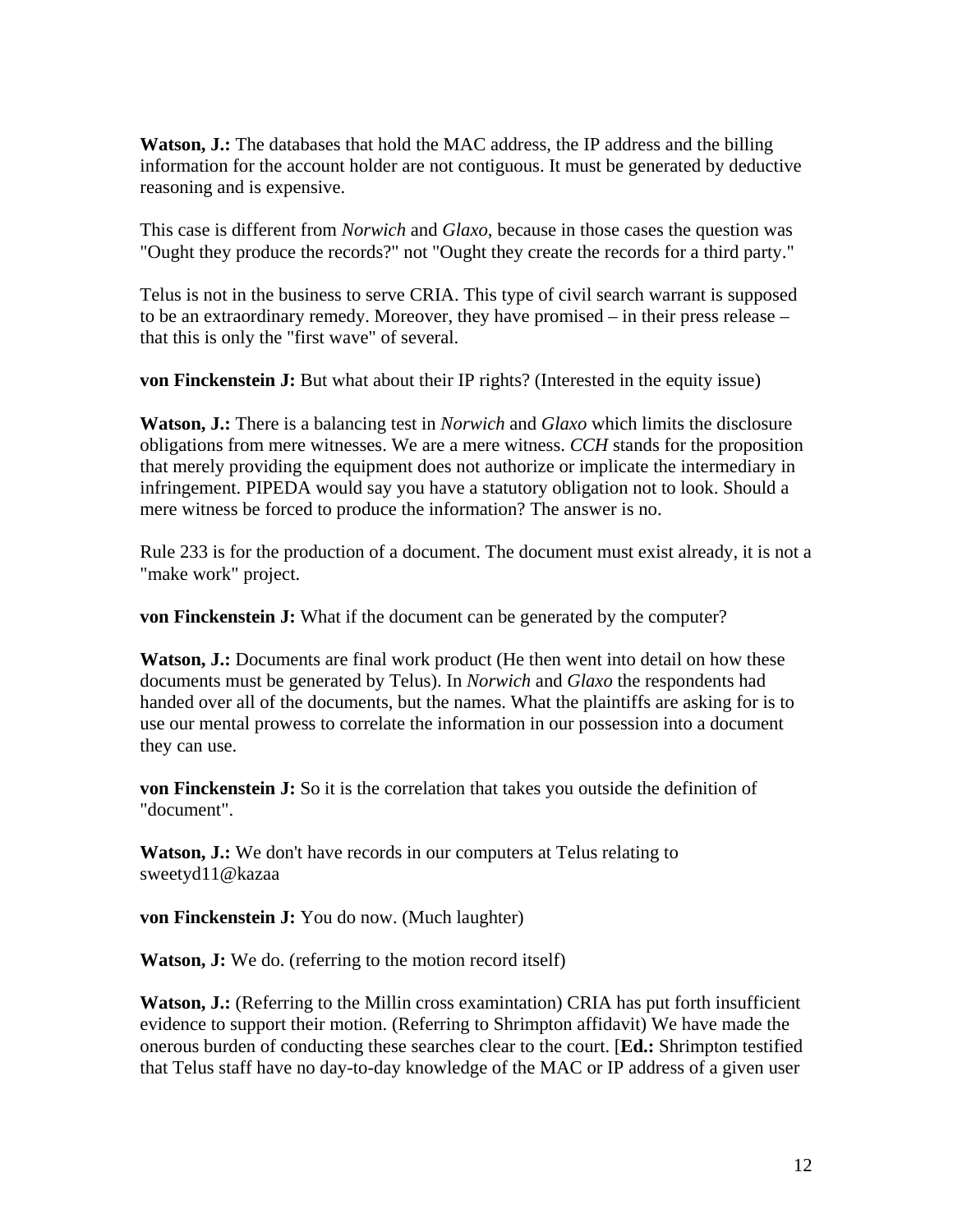**Watson, J.:** The databases that hold the MAC address, the IP address and the billing information for the account holder are not contiguous. It must be generated by deductive reasoning and is expensive.

This case is different from *Norwich* and *Glaxo*, because in those cases the question was "Ought they produce the records?" not "Ought they create the records for a third party."

Telus is not in the business to serve CRIA. This type of civil search warrant is supposed to be an extraordinary remedy. Moreover, they have promised – in their press release – that this is only the "first wave" of several.

**von Finckenstein J:** But what about their IP rights? (Interested in the equity issue)

**Watson, J.:** There is a balancing test in *Norwich* and *Glaxo* which limits the disclosure obligations from mere witnesses. We are a mere witness. *CCH* stands for the proposition that merely providing the equipment does not authorize or implicate the intermediary in infringement. PIPEDA would say you have a statutory obligation not to look. Should a mere witness be forced to produce the information? The answer is no.

Rule 233 is for the production of a document. The document must exist already, it is not a "make work" project.

**von Finckenstein J:** What if the document can be generated by the computer?

**Watson, J.:** Documents are final work product (He then went into detail on how these documents must be generated by Telus). In *Norwich* and *Glaxo* the respondents had handed over all of the documents, but the names. What the plaintiffs are asking for is to use our mental prowess to correlate the information in our possession into a document they can use.

**von Finckenstein J:** So it is the correlation that takes you outside the definition of "document".

**Watson, J.:** We don't have records in our computers at Telus relating to sweetyd11@kazaa

**von Finckenstein J:** You do now. (Much laughter)

**Watson, J:** We do. (referring to the motion record itself)

**Watson, J.:** (Referring to the Millin cross examintation) CRIA has put forth insufficient evidence to support their motion. (Referring to Shrimpton affidavit) We have made the onerous burden of conducting these searches clear to the court. [**Ed.:** Shrimpton testified that Telus staff have no day-to-day knowledge of the MAC or IP address of a given user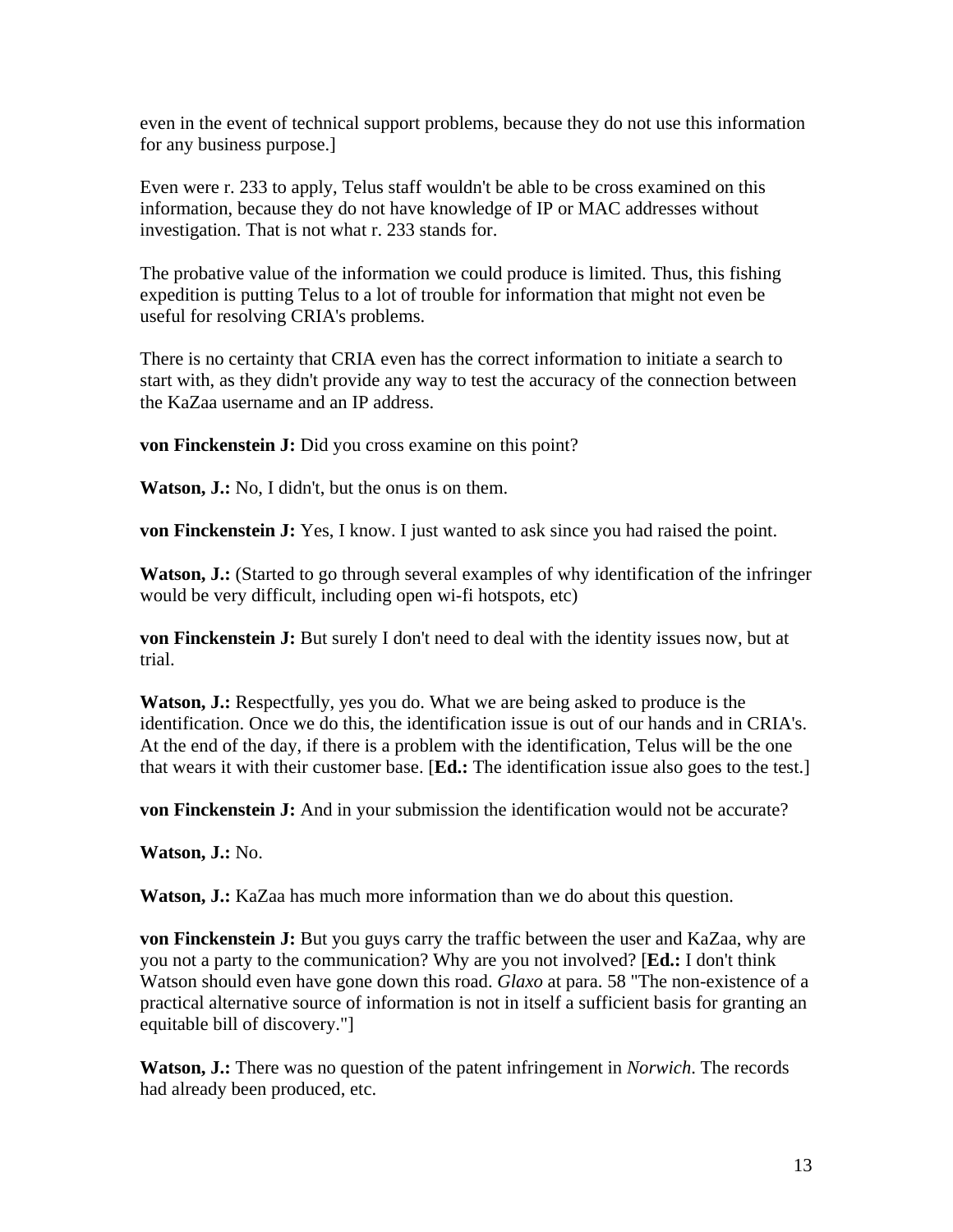even in the event of technical support problems, because they do not use this information for any business purpose.]

Even were r. 233 to apply, Telus staff wouldn't be able to be cross examined on this information, because they do not have knowledge of IP or MAC addresses without investigation. That is not what r. 233 stands for.

The probative value of the information we could produce is limited. Thus, this fishing expedition is putting Telus to a lot of trouble for information that might not even be useful for resolving CRIA's problems.

There is no certainty that CRIA even has the correct information to initiate a search to start with, as they didn't provide any way to test the accuracy of the connection between the KaZaa username and an IP address.

**von Finckenstein J:** Did you cross examine on this point?

**Watson, J.:** No, I didn't, but the onus is on them.

**von Finckenstein J:** Yes, I know. I just wanted to ask since you had raised the point.

**Watson, J.:** (Started to go through several examples of why identification of the infringer would be very difficult, including open wi-fi hotspots, etc)

**von Finckenstein J:** But surely I don't need to deal with the identity issues now, but at trial.

**Watson, J.:** Respectfully, yes you do. What we are being asked to produce is the identification. Once we do this, the identification issue is out of our hands and in CRIA's. At the end of the day, if there is a problem with the identification, Telus will be the one that wears it with their customer base. [**Ed.:** The identification issue also goes to the test.]

**von Finckenstein J:** And in your submission the identification would not be accurate?

**Watson, J.:** No.

**Watson, J.:** KaZaa has much more information than we do about this question.

**von Finckenstein J:** But you guys carry the traffic between the user and KaZaa, why are you not a party to the communication? Why are you not involved? [**Ed.:** I don't think Watson should even have gone down this road. *Glaxo* at para. 58 "The non-existence of a practical alternative source of information is not in itself a sufficient basis for granting an equitable bill of discovery."]

**Watson, J.:** There was no question of the patent infringement in *Norwich*. The records had already been produced, etc.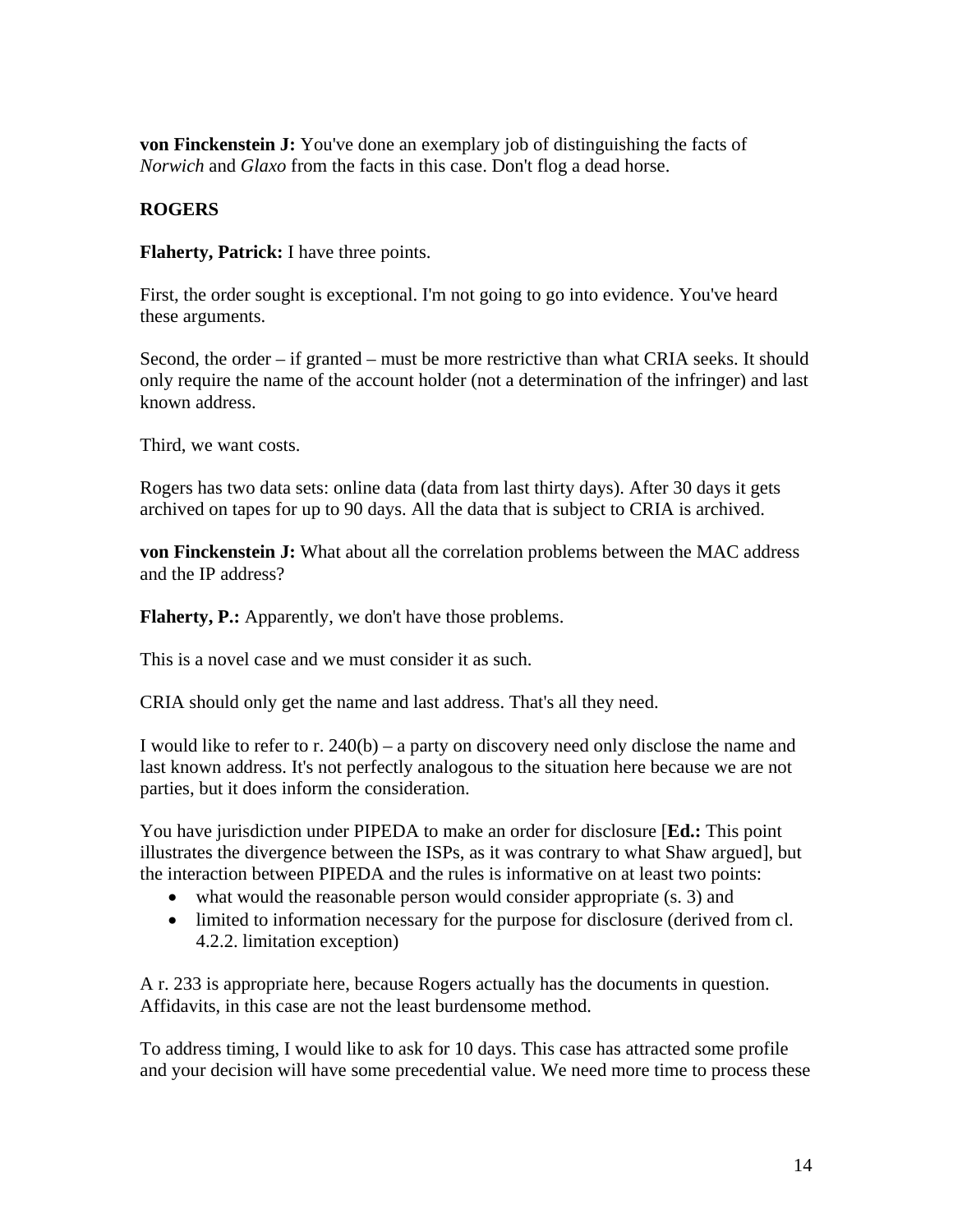**von Finckenstein J:** You've done an exemplary job of distinguishing the facts of *Norwich* and *Glaxo* from the facts in this case. Don't flog a dead horse.

## **ROGERS**

**Flaherty, Patrick:** I have three points.

First, the order sought is exceptional. I'm not going to go into evidence. You've heard these arguments.

Second, the order – if granted – must be more restrictive than what CRIA seeks. It should only require the name of the account holder (not a determination of the infringer) and last known address.

Third, we want costs.

Rogers has two data sets: online data (data from last thirty days). After 30 days it gets archived on tapes for up to 90 days. All the data that is subject to CRIA is archived.

**von Finckenstein J:** What about all the correlation problems between the MAC address and the IP address?

**Flaherty, P.:** Apparently, we don't have those problems.

This is a novel case and we must consider it as such.

CRIA should only get the name and last address. That's all they need.

I would like to refer to r.  $240(b)$  – a party on discovery need only disclose the name and last known address. It's not perfectly analogous to the situation here because we are not parties, but it does inform the consideration.

You have jurisdiction under PIPEDA to make an order for disclosure [**Ed.:** This point illustrates the divergence between the ISPs, as it was contrary to what Shaw argued], but the interaction between PIPEDA and the rules is informative on at least two points:

- what would the reasonable person would consider appropriate (s. 3) and
- limited to information necessary for the purpose for disclosure (derived from cl. 4.2.2. limitation exception)

A r. 233 is appropriate here, because Rogers actually has the documents in question. Affidavits, in this case are not the least burdensome method.

To address timing, I would like to ask for 10 days. This case has attracted some profile and your decision will have some precedential value. We need more time to process these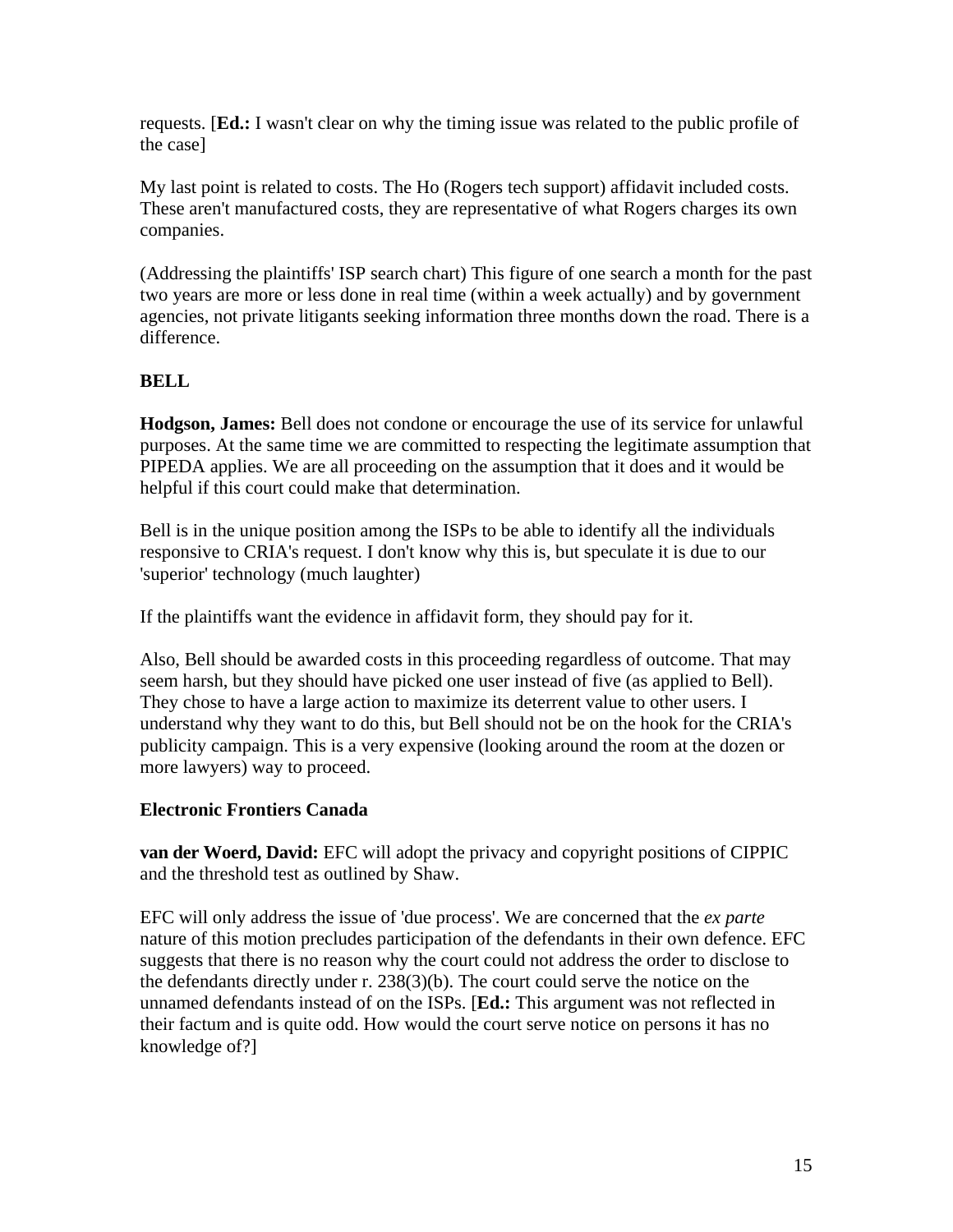requests. [**Ed.:** I wasn't clear on why the timing issue was related to the public profile of the case]

My last point is related to costs. The Ho (Rogers tech support) affidavit included costs. These aren't manufactured costs, they are representative of what Rogers charges its own companies.

(Addressing the plaintiffs' ISP search chart) This figure of one search a month for the past two years are more or less done in real time (within a week actually) and by government agencies, not private litigants seeking information three months down the road. There is a difference.

## **BELL**

**Hodgson, James:** Bell does not condone or encourage the use of its service for unlawful purposes. At the same time we are committed to respecting the legitimate assumption that PIPEDA applies. We are all proceeding on the assumption that it does and it would be helpful if this court could make that determination.

Bell is in the unique position among the ISPs to be able to identify all the individuals responsive to CRIA's request. I don't know why this is, but speculate it is due to our 'superior' technology (much laughter)

If the plaintiffs want the evidence in affidavit form, they should pay for it.

Also, Bell should be awarded costs in this proceeding regardless of outcome. That may seem harsh, but they should have picked one user instead of five (as applied to Bell). They chose to have a large action to maximize its deterrent value to other users. I understand why they want to do this, but Bell should not be on the hook for the CRIA's publicity campaign. This is a very expensive (looking around the room at the dozen or more lawyers) way to proceed.

## **Electronic Frontiers Canada**

**van der Woerd, David:** EFC will adopt the privacy and copyright positions of CIPPIC and the threshold test as outlined by Shaw.

EFC will only address the issue of 'due process'. We are concerned that the *ex parte* nature of this motion precludes participation of the defendants in their own defence. EFC suggests that there is no reason why the court could not address the order to disclose to the defendants directly under r. 238(3)(b). The court could serve the notice on the unnamed defendants instead of on the ISPs. [**Ed.:** This argument was not reflected in their factum and is quite odd. How would the court serve notice on persons it has no knowledge of?]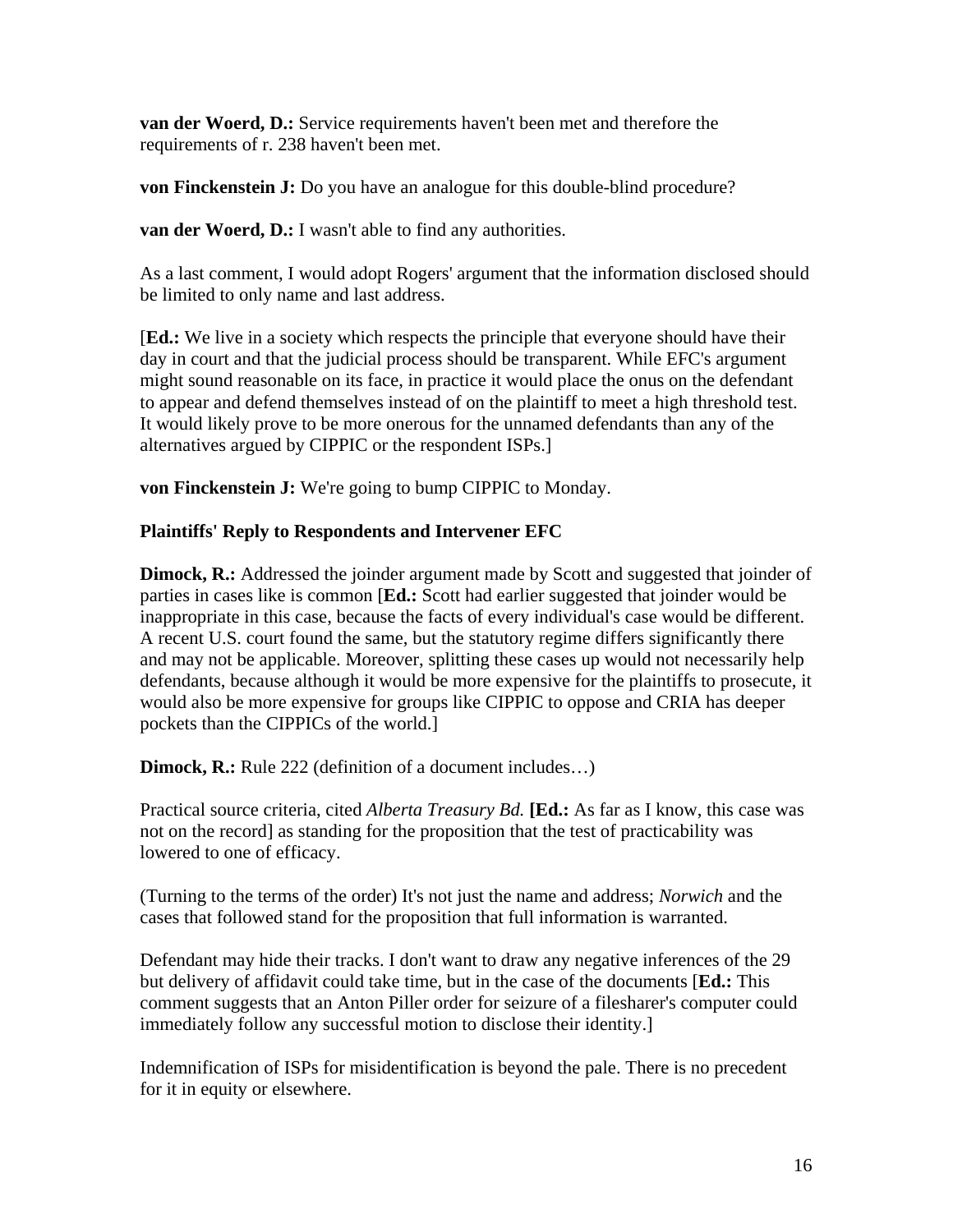**van der Woerd, D.:** Service requirements haven't been met and therefore the requirements of r. 238 haven't been met.

**von Finckenstein J:** Do you have an analogue for this double-blind procedure?

**van der Woerd, D.:** I wasn't able to find any authorities.

As a last comment, I would adopt Rogers' argument that the information disclosed should be limited to only name and last address.

[**Ed.:** We live in a society which respects the principle that everyone should have their day in court and that the judicial process should be transparent. While EFC's argument might sound reasonable on its face, in practice it would place the onus on the defendant to appear and defend themselves instead of on the plaintiff to meet a high threshold test. It would likely prove to be more onerous for the unnamed defendants than any of the alternatives argued by CIPPIC or the respondent ISPs.]

**von Finckenstein J:** We're going to bump CIPPIC to Monday.

## **Plaintiffs' Reply to Respondents and Intervener EFC**

**Dimock, R.:** Addressed the joinder argument made by Scott and suggested that joinder of parties in cases like is common [**Ed.:** Scott had earlier suggested that joinder would be inappropriate in this case, because the facts of every individual's case would be different. A recent U.S. court found the same, but the statutory regime differs significantly there and may not be applicable. Moreover, splitting these cases up would not necessarily help defendants, because although it would be more expensive for the plaintiffs to prosecute, it would also be more expensive for groups like CIPPIC to oppose and CRIA has deeper pockets than the CIPPICs of the world.]

**Dimock, R.:** Rule 222 (definition of a document includes...)

Practical source criteria, cited *Alberta Treasury Bd.* **[Ed.:** As far as I know, this case was not on the record] as standing for the proposition that the test of practicability was lowered to one of efficacy.

(Turning to the terms of the order) It's not just the name and address; *Norwich* and the cases that followed stand for the proposition that full information is warranted.

Defendant may hide their tracks. I don't want to draw any negative inferences of the 29 but delivery of affidavit could take time, but in the case of the documents [**Ed.:** This comment suggests that an Anton Piller order for seizure of a filesharer's computer could immediately follow any successful motion to disclose their identity.]

Indemnification of ISPs for misidentification is beyond the pale. There is no precedent for it in equity or elsewhere.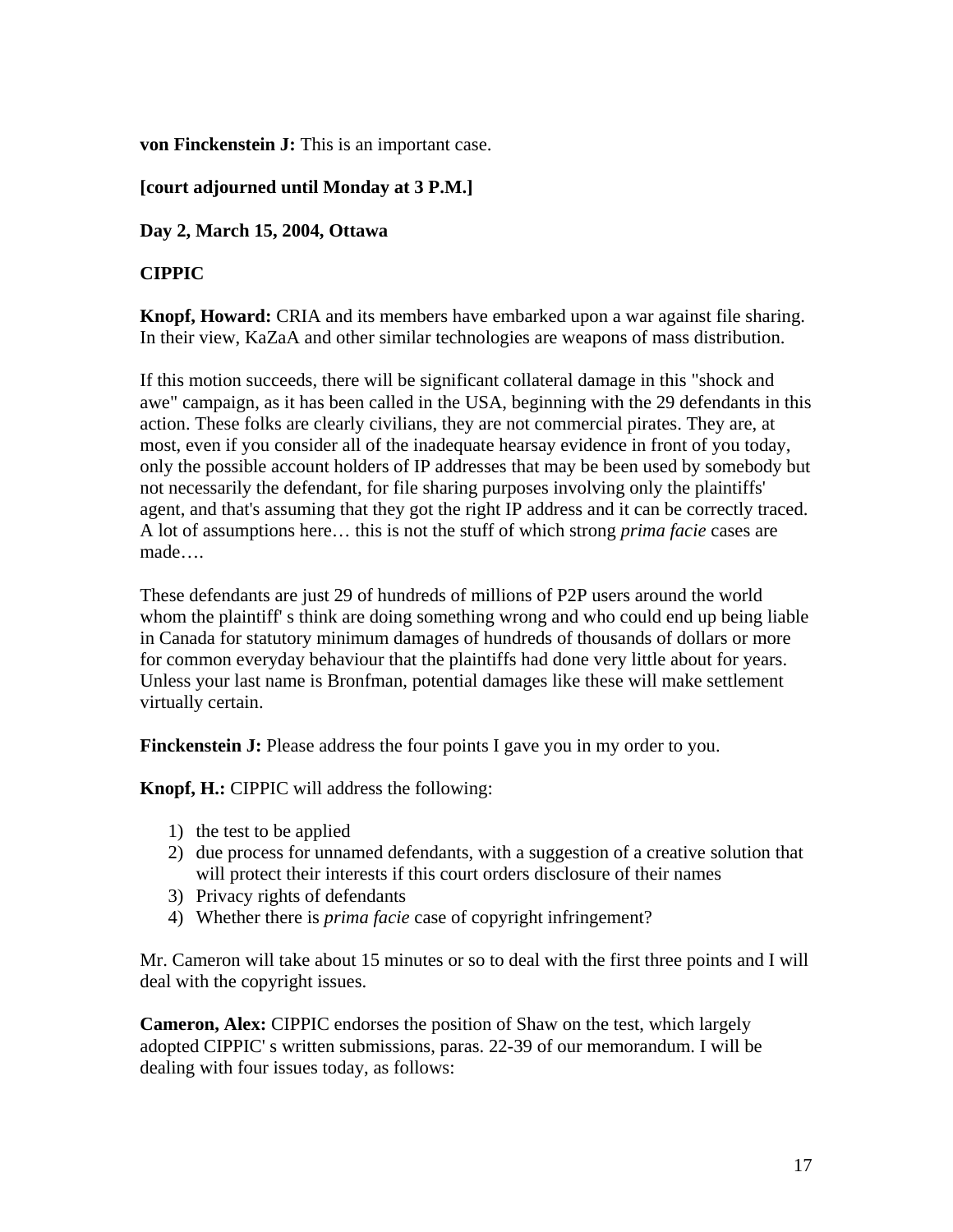**von Finckenstein J:** This is an important case.

## **[court adjourned until Monday at 3 P.M.]**

**Day 2, March 15, 2004, Ottawa**

## **CIPPIC**

**Knopf, Howard:** CRIA and its members have embarked upon a war against file sharing. In their view, KaZaA and other similar technologies are weapons of mass distribution.

If this motion succeeds, there will be significant collateral damage in this "shock and awe" campaign, as it has been called in the USA, beginning with the 29 defendants in this action. These folks are clearly civilians, they are not commercial pirates. They are, at most, even if you consider all of the inadequate hearsay evidence in front of you today, only the possible account holders of IP addresses that may be been used by somebody but not necessarily the defendant, for file sharing purposes involving only the plaintiffs' agent, and that's assuming that they got the right IP address and it can be correctly traced. A lot of assumptions here… this is not the stuff of which strong *prima facie* cases are made….

These defendants are just 29 of hundreds of millions of P2P users around the world whom the plaintiff' s think are doing something wrong and who could end up being liable in Canada for statutory minimum damages of hundreds of thousands of dollars or more for common everyday behaviour that the plaintiffs had done very little about for years. Unless your last name is Bronfman, potential damages like these will make settlement virtually certain.

**Finckenstein J:** Please address the four points I gave you in my order to you.

**Knopf, H.:** CIPPIC will address the following:

- 1) the test to be applied
- 2) due process for unnamed defendants, with a suggestion of a creative solution that will protect their interests if this court orders disclosure of their names
- 3) Privacy rights of defendants
- 4) Whether there is *prima facie* case of copyright infringement?

Mr. Cameron will take about 15 minutes or so to deal with the first three points and I will deal with the copyright issues.

**Cameron, Alex:** CIPPIC endorses the position of Shaw on the test, which largely adopted CIPPIC' s written submissions, paras. 22-39 of our memorandum. I will be dealing with four issues today, as follows: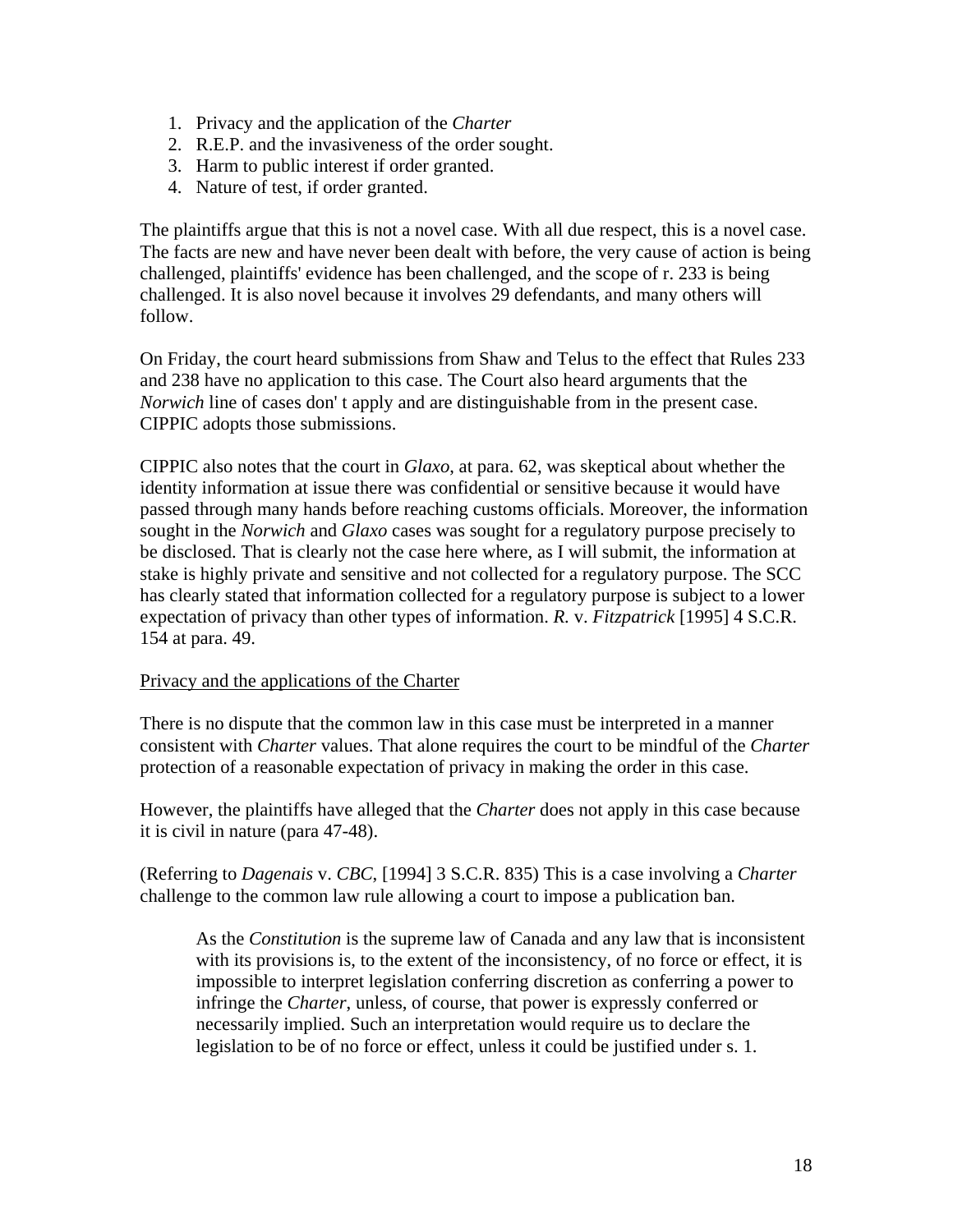- 1. Privacy and the application of the *Charter*
- 2. R.E.P. and the invasiveness of the order sought.
- 3. Harm to public interest if order granted.
- 4. Nature of test, if order granted.

The plaintiffs argue that this is not a novel case. With all due respect, this is a novel case. The facts are new and have never been dealt with before, the very cause of action is being challenged, plaintiffs' evidence has been challenged, and the scope of r. 233 is being challenged. It is also novel because it involves 29 defendants, and many others will follow.

On Friday, the court heard submissions from Shaw and Telus to the effect that Rules 233 and 238 have no application to this case. The Court also heard arguments that the *Norwich* line of cases don' t apply and are distinguishable from in the present case. CIPPIC adopts those submissions.

CIPPIC also notes that the court in *Glaxo*, at para. 62, was skeptical about whether the identity information at issue there was confidential or sensitive because it would have passed through many hands before reaching customs officials. Moreover, the information sought in the *Norwich* and *Glaxo* cases was sought for a regulatory purpose precisely to be disclosed. That is clearly not the case here where, as I will submit, the information at stake is highly private and sensitive and not collected for a regulatory purpose. The SCC has clearly stated that information collected for a regulatory purpose is subject to a lower expectation of privacy than other types of information. *R.* v. *Fitzpatrick* [1995] 4 S.C.R. 154 at para. 49.

### Privacy and the applications of the Charter

There is no dispute that the common law in this case must be interpreted in a manner consistent with *Charter* values. That alone requires the court to be mindful of the *Charter* protection of a reasonable expectation of privacy in making the order in this case.

However, the plaintiffs have alleged that the *Charter* does not apply in this case because it is civil in nature (para 47-48).

(Referring to *Dagenais* v. *CBC*, [1994] 3 S.C.R. 835) This is a case involving a *Charter* challenge to the common law rule allowing a court to impose a publication ban.

As the *Constitution* is the supreme law of Canada and any law that is inconsistent with its provisions is, to the extent of the inconsistency, of no force or effect, it is impossible to interpret legislation conferring discretion as conferring a power to infringe the *Charter*, unless, of course, that power is expressly conferred or necessarily implied. Such an interpretation would require us to declare the legislation to be of no force or effect, unless it could be justified under s. 1.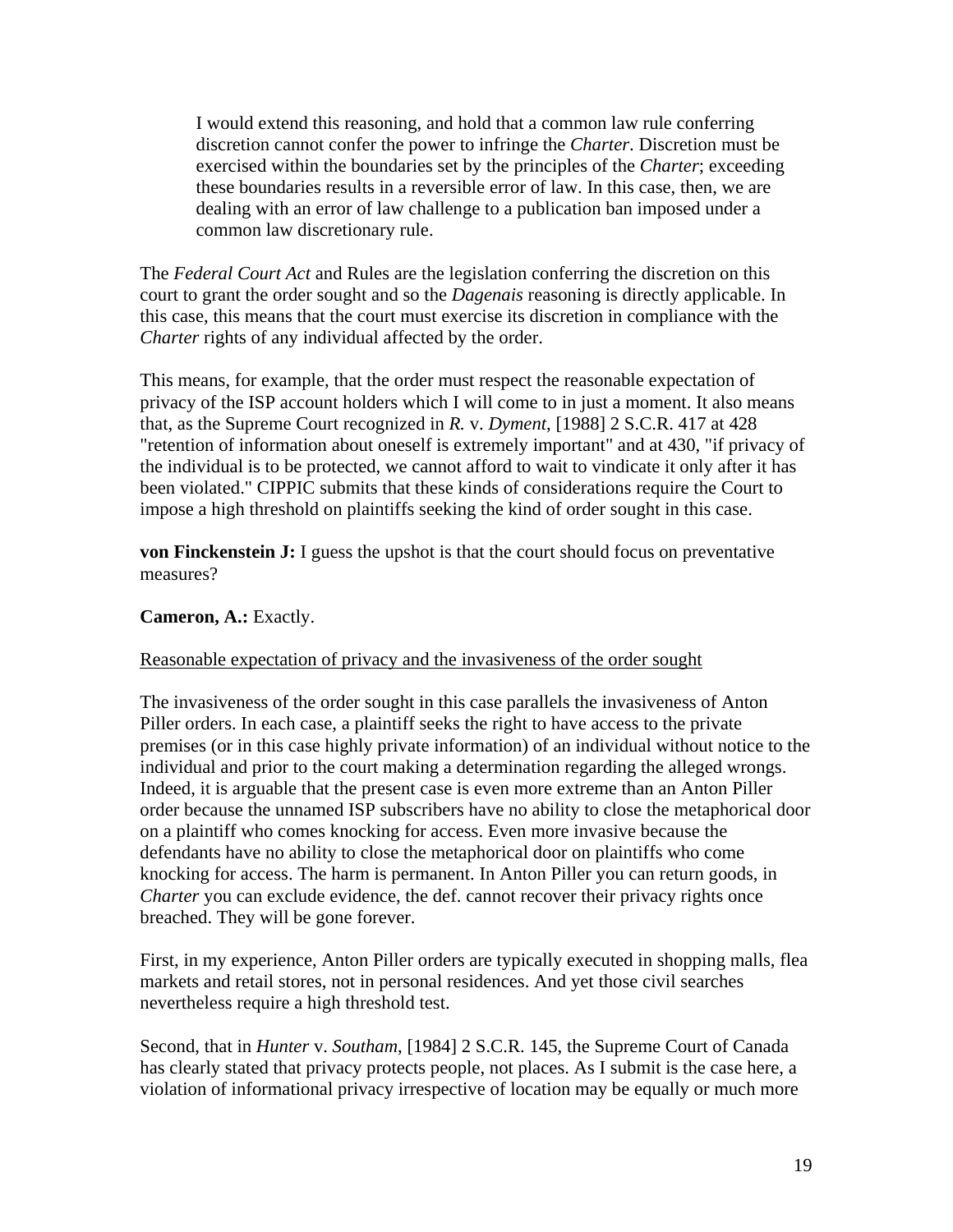I would extend this reasoning, and hold that a common law rule conferring discretion cannot confer the power to infringe the *Charter*. Discretion must be exercised within the boundaries set by the principles of the *Charter*; exceeding these boundaries results in a reversible error of law. In this case, then, we are dealing with an error of law challenge to a publication ban imposed under a common law discretionary rule.

The *Federal Court Act* and Rules are the legislation conferring the discretion on this court to grant the order sought and so the *Dagenais* reasoning is directly applicable. In this case, this means that the court must exercise its discretion in compliance with the *Charter* rights of any individual affected by the order.

This means, for example, that the order must respect the reasonable expectation of privacy of the ISP account holders which I will come to in just a moment. It also means that, as the Supreme Court recognized in *R.* v. *Dyment*, [1988] 2 S.C.R. 417 at 428 "retention of information about oneself is extremely important" and at 430, "if privacy of the individual is to be protected, we cannot afford to wait to vindicate it only after it has been violated." CIPPIC submits that these kinds of considerations require the Court to impose a high threshold on plaintiffs seeking the kind of order sought in this case.

**von Finckenstein J:** I guess the upshot is that the court should focus on preventative measures?

## **Cameron, A.:** Exactly.

### Reasonable expectation of privacy and the invasiveness of the order sought

The invasiveness of the order sought in this case parallels the invasiveness of Anton Piller orders. In each case, a plaintiff seeks the right to have access to the private premises (or in this case highly private information) of an individual without notice to the individual and prior to the court making a determination regarding the alleged wrongs. Indeed, it is arguable that the present case is even more extreme than an Anton Piller order because the unnamed ISP subscribers have no ability to close the metaphorical door on a plaintiff who comes knocking for access. Even more invasive because the defendants have no ability to close the metaphorical door on plaintiffs who come knocking for access. The harm is permanent. In Anton Piller you can return goods, in *Charter* you can exclude evidence, the def. cannot recover their privacy rights once breached. They will be gone forever.

First, in my experience, Anton Piller orders are typically executed in shopping malls, flea markets and retail stores, not in personal residences. And yet those civil searches nevertheless require a high threshold test.

Second, that in *Hunter* v. *Southam*, [1984] 2 S.C.R. 145, the Supreme Court of Canada has clearly stated that privacy protects people, not places. As I submit is the case here, a violation of informational privacy irrespective of location may be equally or much more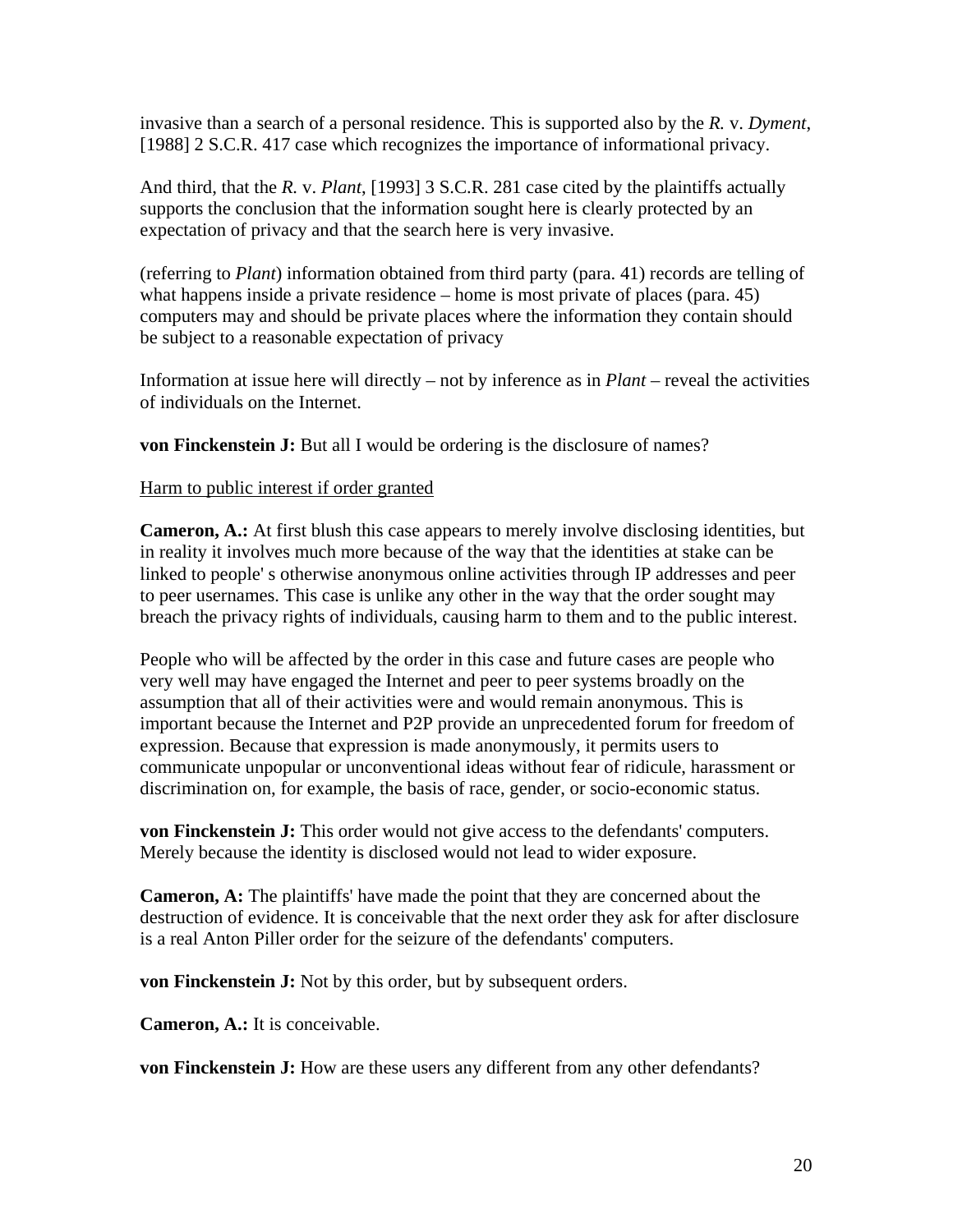invasive than a search of a personal residence. This is supported also by the *R.* v. *Dyment*, [1988] 2 S.C.R. 417 case which recognizes the importance of informational privacy.

And third, that the *R.* v. *Plant*, [1993] 3 S.C.R. 281 case cited by the plaintiffs actually supports the conclusion that the information sought here is clearly protected by an expectation of privacy and that the search here is very invasive.

(referring to *Plant*) information obtained from third party (para. 41) records are telling of what happens inside a private residence – home is most private of places (para. 45) computers may and should be private places where the information they contain should be subject to a reasonable expectation of privacy

Information at issue here will directly – not by inference as in *Plant* – reveal the activities of individuals on the Internet.

**von Finckenstein J:** But all I would be ordering is the disclosure of names?

### Harm to public interest if order granted

**Cameron, A.:** At first blush this case appears to merely involve disclosing identities, but in reality it involves much more because of the way that the identities at stake can be linked to people' s otherwise anonymous online activities through IP addresses and peer to peer usernames. This case is unlike any other in the way that the order sought may breach the privacy rights of individuals, causing harm to them and to the public interest.

People who will be affected by the order in this case and future cases are people who very well may have engaged the Internet and peer to peer systems broadly on the assumption that all of their activities were and would remain anonymous. This is important because the Internet and P2P provide an unprecedented forum for freedom of expression. Because that expression is made anonymously, it permits users to communicate unpopular or unconventional ideas without fear of ridicule, harassment or discrimination on, for example, the basis of race, gender, or socio-economic status.

**von Finckenstein J:** This order would not give access to the defendants' computers. Merely because the identity is disclosed would not lead to wider exposure.

**Cameron, A:** The plaintiffs' have made the point that they are concerned about the destruction of evidence. It is conceivable that the next order they ask for after disclosure is a real Anton Piller order for the seizure of the defendants' computers.

**von Finckenstein J:** Not by this order, but by subsequent orders.

**Cameron, A.:** It is conceivable.

**von Finckenstein J:** How are these users any different from any other defendants?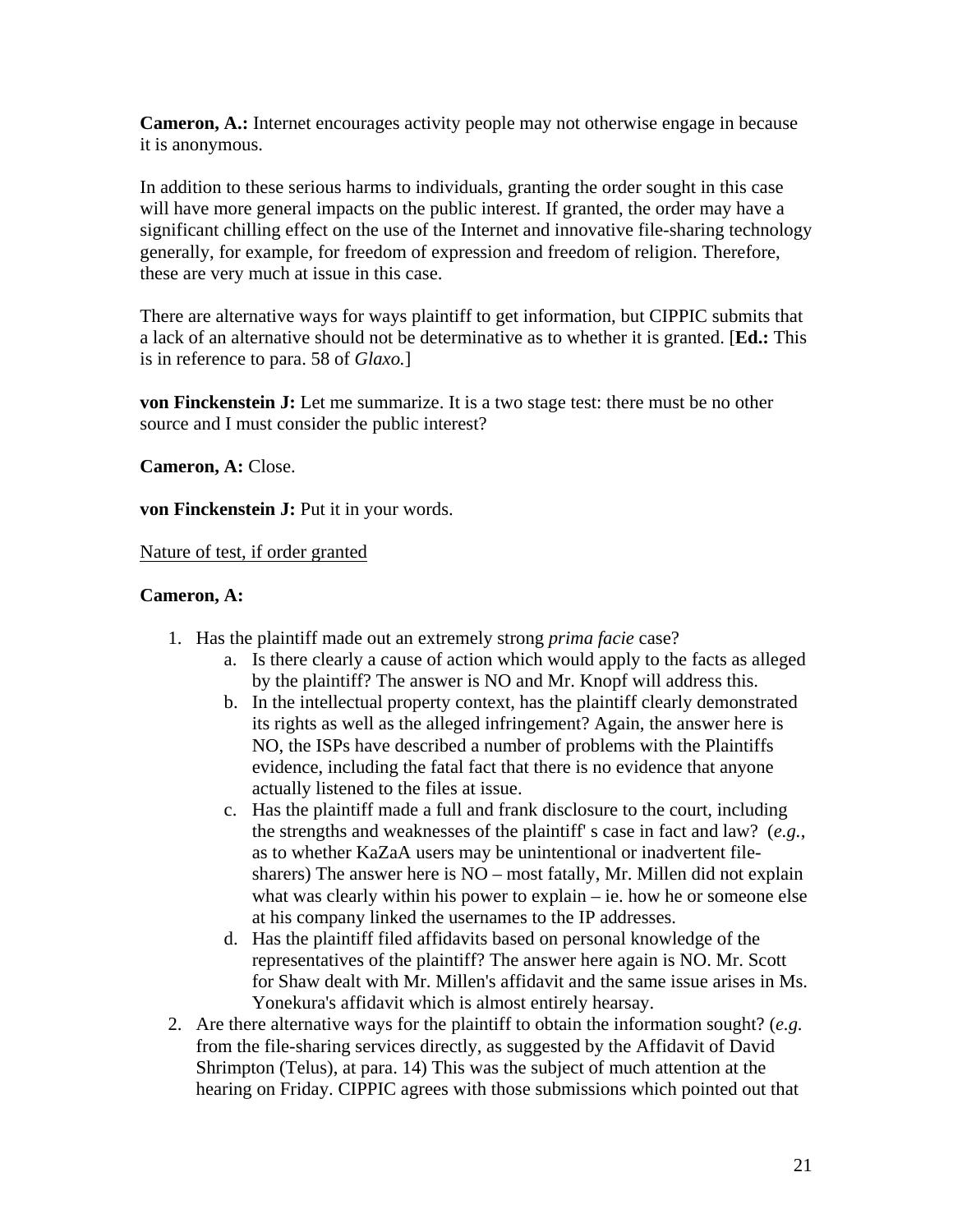**Cameron, A.:** Internet encourages activity people may not otherwise engage in because it is anonymous.

In addition to these serious harms to individuals, granting the order sought in this case will have more general impacts on the public interest. If granted, the order may have a significant chilling effect on the use of the Internet and innovative file-sharing technology generally, for example, for freedom of expression and freedom of religion. Therefore, these are very much at issue in this case.

There are alternative ways for ways plaintiff to get information, but CIPPIC submits that a lack of an alternative should not be determinative as to whether it is granted. [**Ed.:** This is in reference to para. 58 of *Glaxo.*]

**von Finckenstein J:** Let me summarize. It is a two stage test: there must be no other source and I must consider the public interest?

**Cameron, A:** Close.

**von Finckenstein J:** Put it in your words.

Nature of test, if order granted

## **Cameron, A:**

- 1. Has the plaintiff made out an extremely strong *prima facie* case?
	- a. Is there clearly a cause of action which would apply to the facts as alleged by the plaintiff? The answer is NO and Mr. Knopf will address this.
	- b. In the intellectual property context, has the plaintiff clearly demonstrated its rights as well as the alleged infringement? Again, the answer here is NO, the ISPs have described a number of problems with the Plaintiffs evidence, including the fatal fact that there is no evidence that anyone actually listened to the files at issue.
	- c. Has the plaintiff made a full and frank disclosure to the court, including the strengths and weaknesses of the plaintiff' s case in fact and law? (*e.g.*, as to whether KaZaA users may be unintentional or inadvertent filesharers) The answer here is NO – most fatally, Mr. Millen did not explain what was clearly within his power to explain – ie. how he or someone else at his company linked the usernames to the IP addresses.
	- d. Has the plaintiff filed affidavits based on personal knowledge of the representatives of the plaintiff? The answer here again is NO. Mr. Scott for Shaw dealt with Mr. Millen's affidavit and the same issue arises in Ms. Yonekura's affidavit which is almost entirely hearsay.
- 2. Are there alternative ways for the plaintiff to obtain the information sought? (*e.g.* from the file-sharing services directly, as suggested by the Affidavit of David Shrimpton (Telus), at para. 14) This was the subject of much attention at the hearing on Friday. CIPPIC agrees with those submissions which pointed out that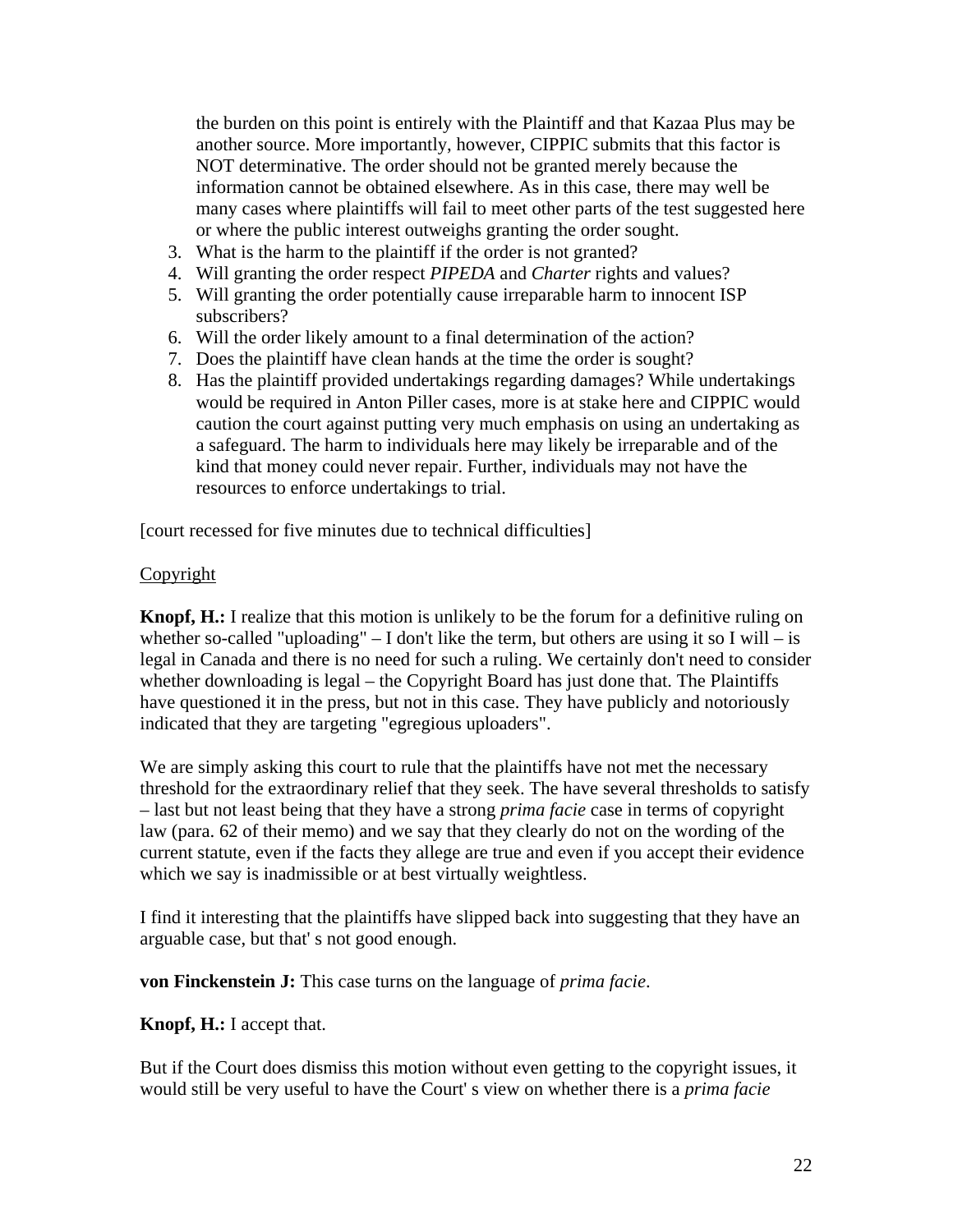the burden on this point is entirely with the Plaintiff and that Kazaa Plus may be another source. More importantly, however, CIPPIC submits that this factor is NOT determinative. The order should not be granted merely because the information cannot be obtained elsewhere. As in this case, there may well be many cases where plaintiffs will fail to meet other parts of the test suggested here or where the public interest outweighs granting the order sought.

- 3. What is the harm to the plaintiff if the order is not granted?
- 4. Will granting the order respect *PIPEDA* and *Charter* rights and values?
- 5. Will granting the order potentially cause irreparable harm to innocent ISP subscribers?
- 6. Will the order likely amount to a final determination of the action?
- 7. Does the plaintiff have clean hands at the time the order is sought?
- 8. Has the plaintiff provided undertakings regarding damages? While undertakings would be required in Anton Piller cases, more is at stake here and CIPPIC would caution the court against putting very much emphasis on using an undertaking as a safeguard. The harm to individuals here may likely be irreparable and of the kind that money could never repair. Further, individuals may not have the resources to enforce undertakings to trial.

[court recessed for five minutes due to technical difficulties]

### Copyright

**Knopf, H.:** I realize that this motion is unlikely to be the forum for a definitive ruling on whether so-called "uploading"  $- I$  don't like the term, but others are using it so I will  $-$  is legal in Canada and there is no need for such a ruling. We certainly don't need to consider whether downloading is legal – the Copyright Board has just done that. The Plaintiffs have questioned it in the press, but not in this case. They have publicly and notoriously indicated that they are targeting "egregious uploaders".

We are simply asking this court to rule that the plaintiffs have not met the necessary threshold for the extraordinary relief that they seek. The have several thresholds to satisfy – last but not least being that they have a strong *prima facie* case in terms of copyright law (para. 62 of their memo) and we say that they clearly do not on the wording of the current statute, even if the facts they allege are true and even if you accept their evidence which we say is inadmissible or at best virtually weightless.

I find it interesting that the plaintiffs have slipped back into suggesting that they have an arguable case, but that' s not good enough.

**von Finckenstein J:** This case turns on the language of *prima facie*.

### **Knopf, H.:** I accept that.

But if the Court does dismiss this motion without even getting to the copyright issues, it would still be very useful to have the Court' s view on whether there is a *prima facie*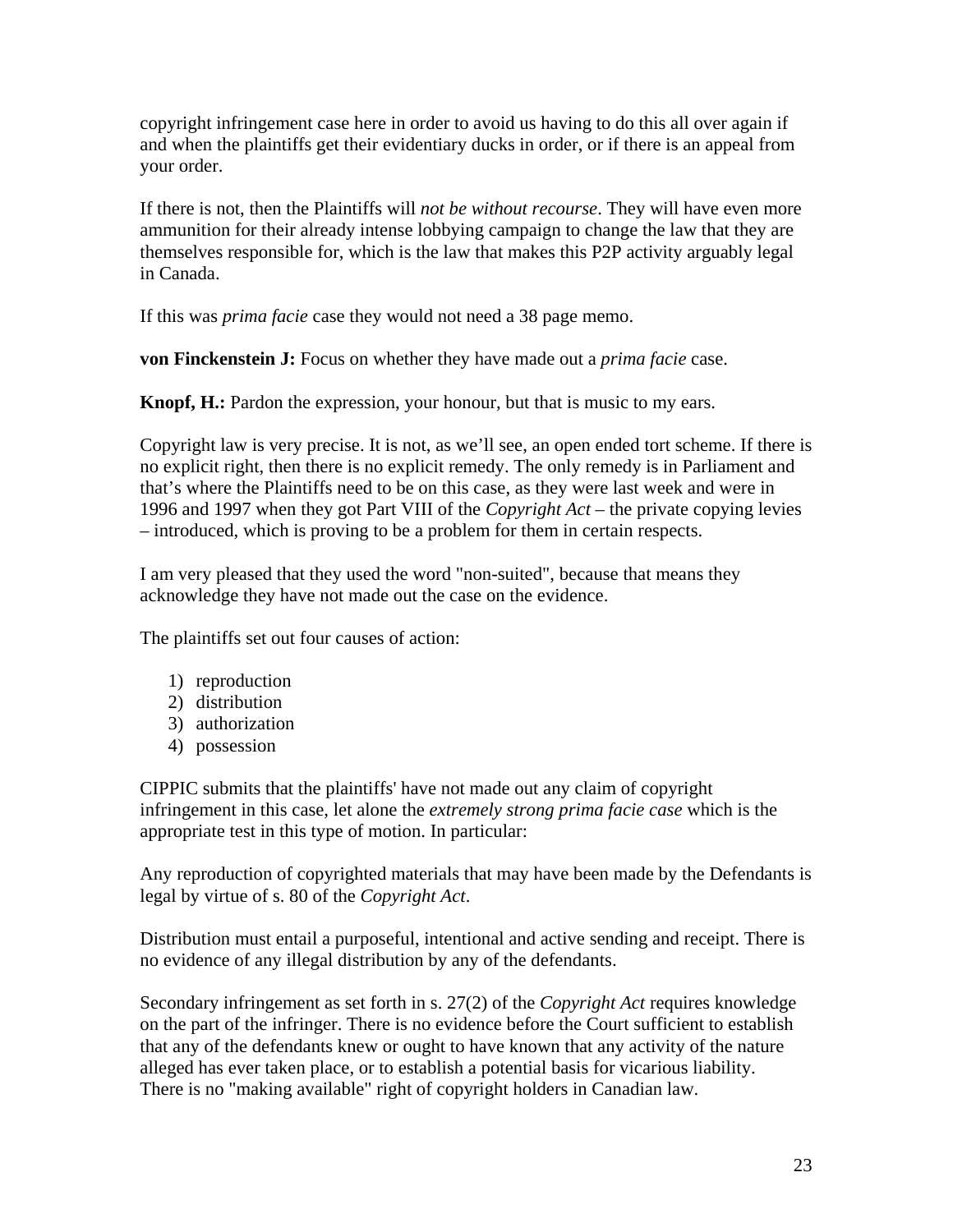copyright infringement case here in order to avoid us having to do this all over again if and when the plaintiffs get their evidentiary ducks in order, or if there is an appeal from your order.

If there is not, then the Plaintiffs will *not be without recourse*. They will have even more ammunition for their already intense lobbying campaign to change the law that they are themselves responsible for, which is the law that makes this P2P activity arguably legal in Canada.

If this was *prima facie* case they would not need a 38 page memo.

**von Finckenstein J:** Focus on whether they have made out a *prima facie* case.

**Knopf, H.:** Pardon the expression, your honour, but that is music to my ears.

Copyright law is very precise. It is not, as we'll see, an open ended tort scheme. If there is no explicit right, then there is no explicit remedy. The only remedy is in Parliament and that's where the Plaintiffs need to be on this case, as they were last week and were in 1996 and 1997 when they got Part VIII of the *Copyright Act* – the private copying levies – introduced, which is proving to be a problem for them in certain respects.

I am very pleased that they used the word "non-suited", because that means they acknowledge they have not made out the case on the evidence.

The plaintiffs set out four causes of action:

- 1) reproduction
- 2) distribution
- 3) authorization
- 4) possession

CIPPIC submits that the plaintiffs' have not made out any claim of copyright infringement in this case, let alone the *extremely strong prima facie case* which is the appropriate test in this type of motion. In particular:

Any reproduction of copyrighted materials that may have been made by the Defendants is legal by virtue of s. 80 of the *Copyright Act*.

Distribution must entail a purposeful, intentional and active sending and receipt. There is no evidence of any illegal distribution by any of the defendants.

Secondary infringement as set forth in s. 27(2) of the *Copyright Act* requires knowledge on the part of the infringer. There is no evidence before the Court sufficient to establish that any of the defendants knew or ought to have known that any activity of the nature alleged has ever taken place, or to establish a potential basis for vicarious liability. There is no "making available" right of copyright holders in Canadian law.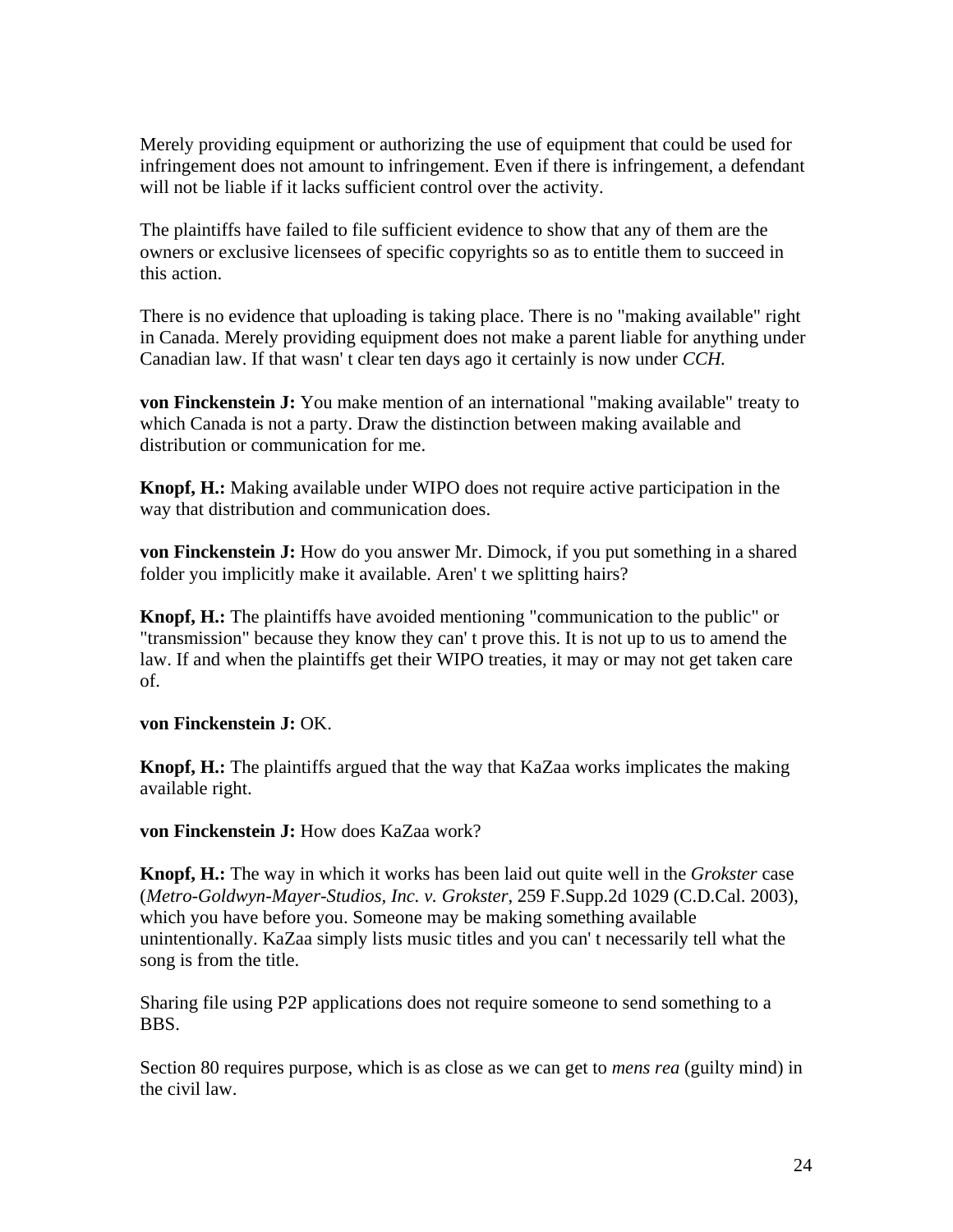Merely providing equipment or authorizing the use of equipment that could be used for infringement does not amount to infringement. Even if there is infringement, a defendant will not be liable if it lacks sufficient control over the activity.

The plaintiffs have failed to file sufficient evidence to show that any of them are the owners or exclusive licensees of specific copyrights so as to entitle them to succeed in this action.

There is no evidence that uploading is taking place. There is no "making available" right in Canada. Merely providing equipment does not make a parent liable for anything under Canadian law. If that wasn' t clear ten days ago it certainly is now under *CCH.* 

**von Finckenstein J:** You make mention of an international "making available" treaty to which Canada is not a party. Draw the distinction between making available and distribution or communication for me.

**Knopf, H.:** Making available under WIPO does not require active participation in the way that distribution and communication does.

**von Finckenstein J:** How do you answer Mr. Dimock, if you put something in a shared folder you implicitly make it available. Aren' t we splitting hairs?

**Knopf, H.:** The plaintiffs have avoided mentioning "communication to the public" or "transmission" because they know they can' t prove this. It is not up to us to amend the law. If and when the plaintiffs get their WIPO treaties, it may or may not get taken care of.

**von Finckenstein J:** OK.

**Knopf, H.:** The plaintiffs argued that the way that KaZaa works implicates the making available right.

**von Finckenstein J:** How does KaZaa work?

**Knopf, H.:** The way in which it works has been laid out quite well in the *Grokster* case (*Metro-Goldwyn-Mayer-Studios, Inc. v. Grokster*, 259 F.Supp.2d 1029 (C.D.Cal. 2003), which you have before you. Someone may be making something available unintentionally. KaZaa simply lists music titles and you can' t necessarily tell what the song is from the title.

Sharing file using P2P applications does not require someone to send something to a BBS.

Section 80 requires purpose, which is as close as we can get to *mens rea* (guilty mind) in the civil law.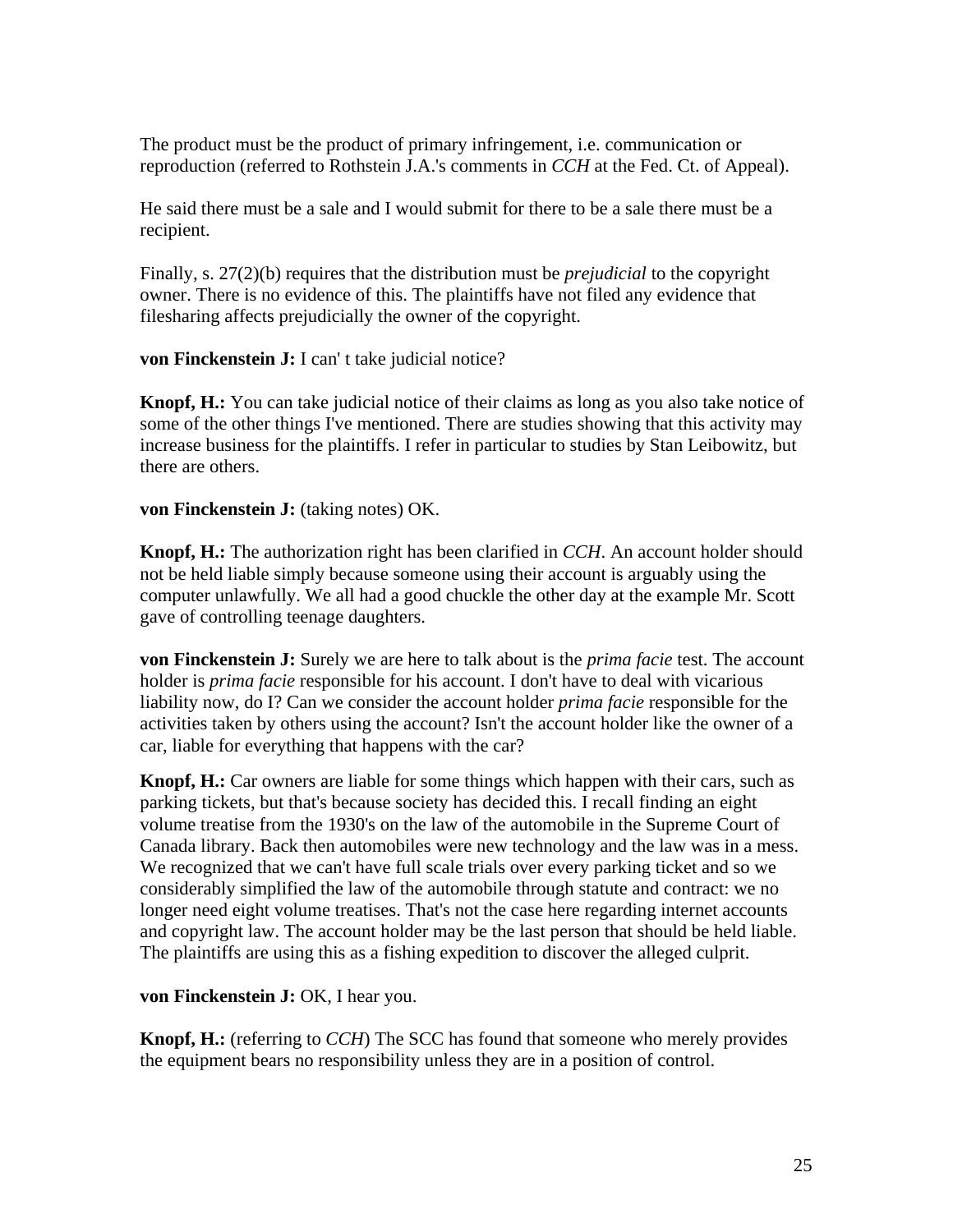The product must be the product of primary infringement, i.e. communication or reproduction (referred to Rothstein J.A.'s comments in *CCH* at the Fed. Ct. of Appeal).

He said there must be a sale and I would submit for there to be a sale there must be a recipient.

Finally, s. 27(2)(b) requires that the distribution must be *prejudicial* to the copyright owner. There is no evidence of this. The plaintiffs have not filed any evidence that filesharing affects prejudicially the owner of the copyright.

**von Finckenstein J:** I can' t take judicial notice?

**Knopf, H.:** You can take judicial notice of their claims as long as you also take notice of some of the other things I've mentioned. There are studies showing that this activity may increase business for the plaintiffs. I refer in particular to studies by Stan Leibowitz, but there are others.

**von Finckenstein J:** (taking notes) OK.

**Knopf, H.:** The authorization right has been clarified in *CCH*. An account holder should not be held liable simply because someone using their account is arguably using the computer unlawfully. We all had a good chuckle the other day at the example Mr. Scott gave of controlling teenage daughters.

**von Finckenstein J:** Surely we are here to talk about is the *prima facie* test. The account holder is *prima facie* responsible for his account. I don't have to deal with vicarious liability now, do I? Can we consider the account holder *prima facie* responsible for the activities taken by others using the account? Isn't the account holder like the owner of a car, liable for everything that happens with the car?

**Knopf, H.:** Car owners are liable for some things which happen with their cars, such as parking tickets, but that's because society has decided this. I recall finding an eight volume treatise from the 1930's on the law of the automobile in the Supreme Court of Canada library. Back then automobiles were new technology and the law was in a mess. We recognized that we can't have full scale trials over every parking ticket and so we considerably simplified the law of the automobile through statute and contract: we no longer need eight volume treatises. That's not the case here regarding internet accounts and copyright law. The account holder may be the last person that should be held liable. The plaintiffs are using this as a fishing expedition to discover the alleged culprit.

**von Finckenstein J:** OK, I hear you.

**Knopf, H.:** (referring to *CCH*) The SCC has found that someone who merely provides the equipment bears no responsibility unless they are in a position of control.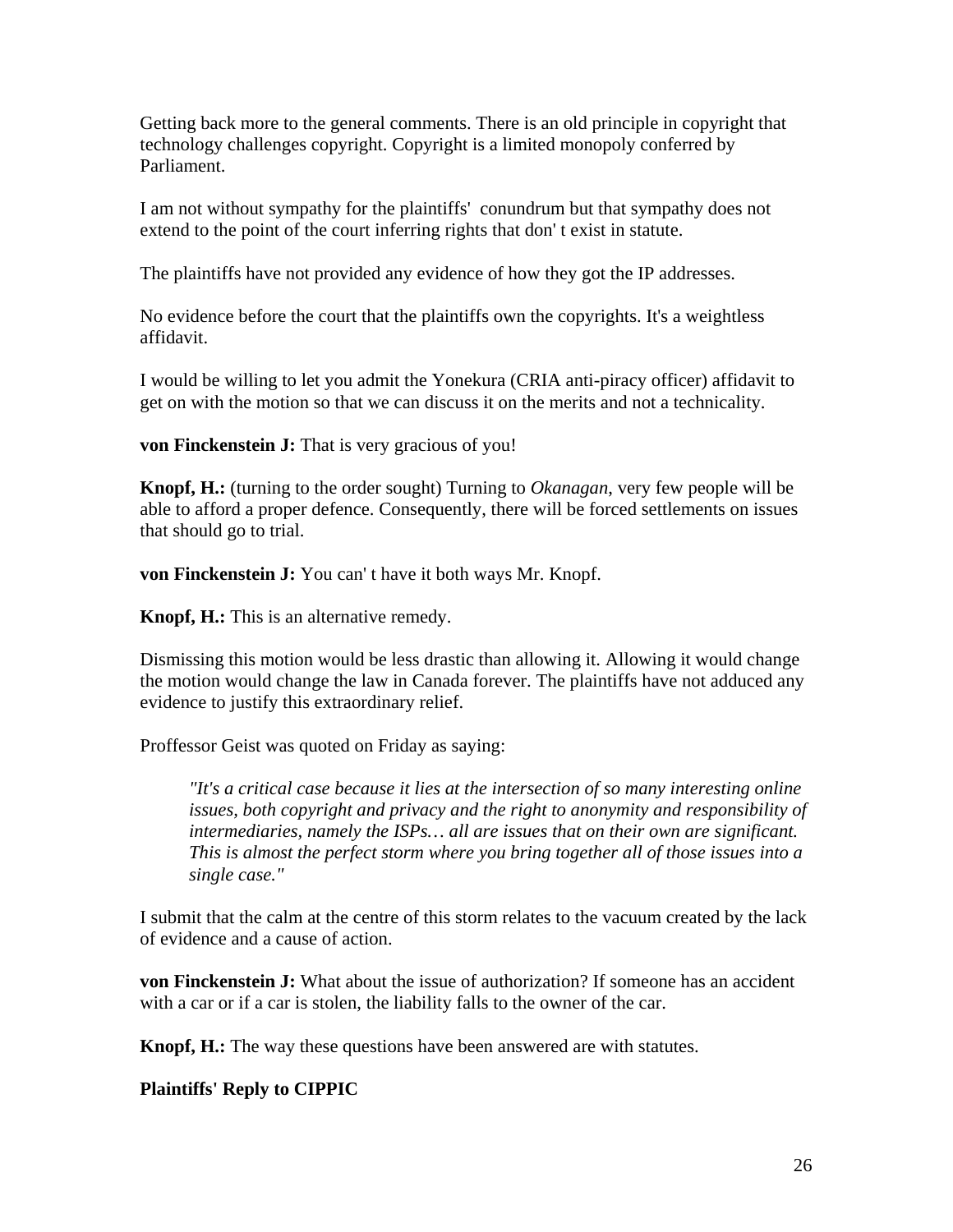Getting back more to the general comments. There is an old principle in copyright that technology challenges copyright. Copyright is a limited monopoly conferred by Parliament.

I am not without sympathy for the plaintiffs' conundrum but that sympathy does not extend to the point of the court inferring rights that don' t exist in statute.

The plaintiffs have not provided any evidence of how they got the IP addresses.

No evidence before the court that the plaintiffs own the copyrights. It's a weightless affidavit.

I would be willing to let you admit the Yonekura (CRIA anti-piracy officer) affidavit to get on with the motion so that we can discuss it on the merits and not a technicality.

**von Finckenstein J:** That is very gracious of you!

**Knopf, H.:** (turning to the order sought) Turning to *Okanagan*, very few people will be able to afford a proper defence. Consequently, there will be forced settlements on issues that should go to trial.

**von Finckenstein J:** You can' t have it both ways Mr. Knopf.

**Knopf, H.:** This is an alternative remedy.

Dismissing this motion would be less drastic than allowing it. Allowing it would change the motion would change the law in Canada forever. The plaintiffs have not adduced any evidence to justify this extraordinary relief.

Proffessor Geist was quoted on Friday as saying:

*"It's a critical case because it lies at the intersection of so many interesting online issues, both copyright and privacy and the right to anonymity and responsibility of intermediaries, namely the ISPs… all are issues that on their own are significant. This is almost the perfect storm where you bring together all of those issues into a single case."* 

I submit that the calm at the centre of this storm relates to the vacuum created by the lack of evidence and a cause of action.

**von Finckenstein J:** What about the issue of authorization? If someone has an accident with a car or if a car is stolen, the liability falls to the owner of the car.

**Knopf, H.:** The way these questions have been answered are with statutes.

**Plaintiffs' Reply to CIPPIC**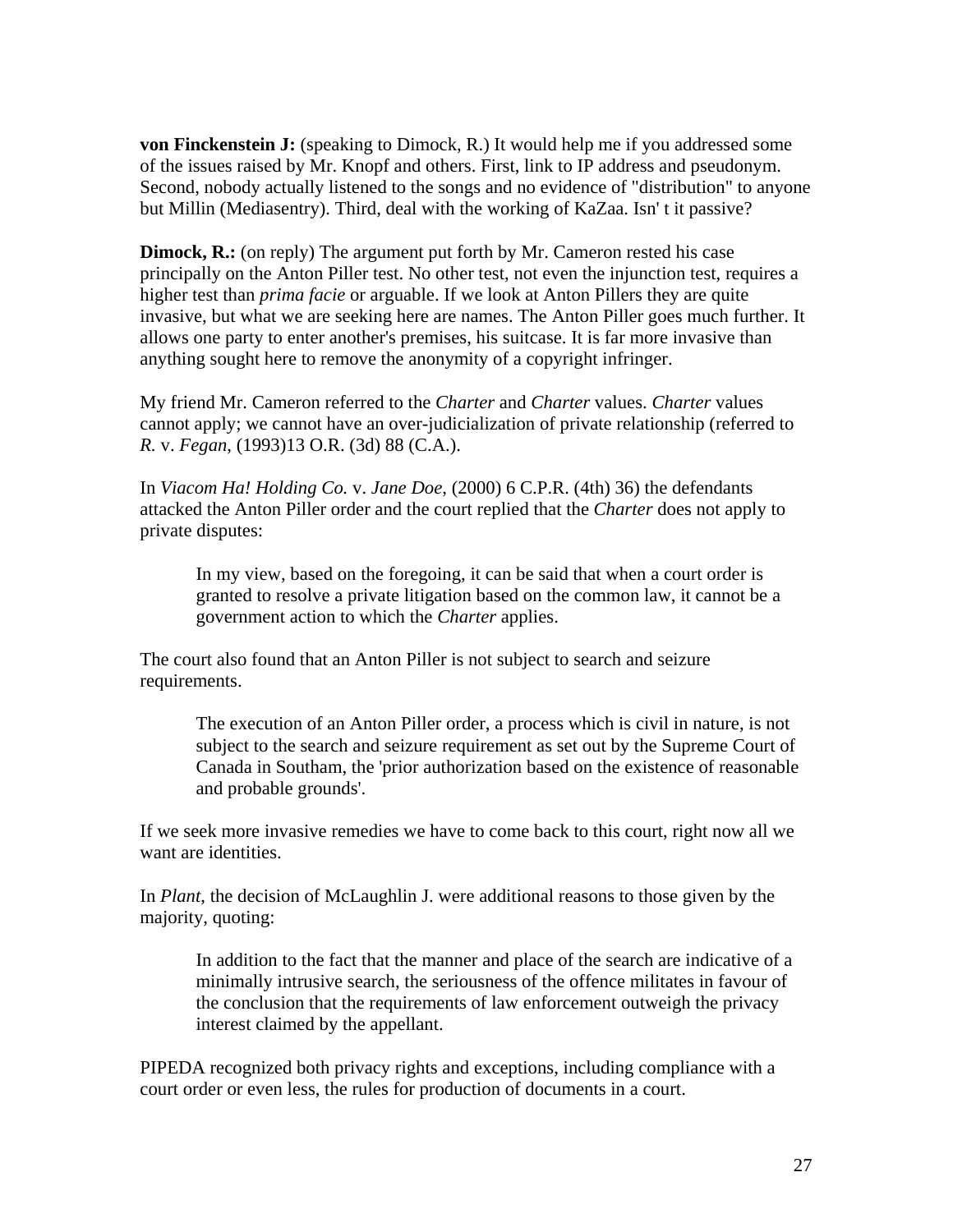**von Finckenstein J:** (speaking to Dimock, R.) It would help me if you addressed some of the issues raised by Mr. Knopf and others. First, link to IP address and pseudonym. Second, nobody actually listened to the songs and no evidence of "distribution" to anyone but Millin (Mediasentry). Third, deal with the working of KaZaa. Isn' t it passive?

**Dimock, R.:** (on reply) The argument put forth by Mr. Cameron rested his case principally on the Anton Piller test. No other test, not even the injunction test, requires a higher test than *prima facie* or arguable. If we look at Anton Pillers they are quite invasive, but what we are seeking here are names. The Anton Piller goes much further. It allows one party to enter another's premises, his suitcase. It is far more invasive than anything sought here to remove the anonymity of a copyright infringer.

My friend Mr. Cameron referred to the *Charter* and *Charter* values. *Charter* values cannot apply; we cannot have an over-judicialization of private relationship (referred to *R.* v. *Fegan*, (1993)13 O.R. (3d) 88 (C.A.).

In *Viacom Ha! Holding Co.* v. *Jane Doe*, (2000) 6 C.P.R. (4th) 36) the defendants attacked the Anton Piller order and the court replied that the *Charter* does not apply to private disputes:

In my view, based on the foregoing, it can be said that when a court order is granted to resolve a private litigation based on the common law, it cannot be a government action to which the *Charter* applies.

The court also found that an Anton Piller is not subject to search and seizure requirements.

The execution of an Anton Piller order, a process which is civil in nature, is not subject to the search and seizure requirement as set out by the Supreme Court of Canada in Southam, the 'prior authorization based on the existence of reasonable and probable grounds'.

If we seek more invasive remedies we have to come back to this court, right now all we want are identities.

In *Plant*, the decision of McLaughlin J. were additional reasons to those given by the majority, quoting:

In addition to the fact that the manner and place of the search are indicative of a minimally intrusive search, the seriousness of the offence militates in favour of the conclusion that the requirements of law enforcement outweigh the privacy interest claimed by the appellant.

PIPEDA recognized both privacy rights and exceptions, including compliance with a court order or even less, the rules for production of documents in a court.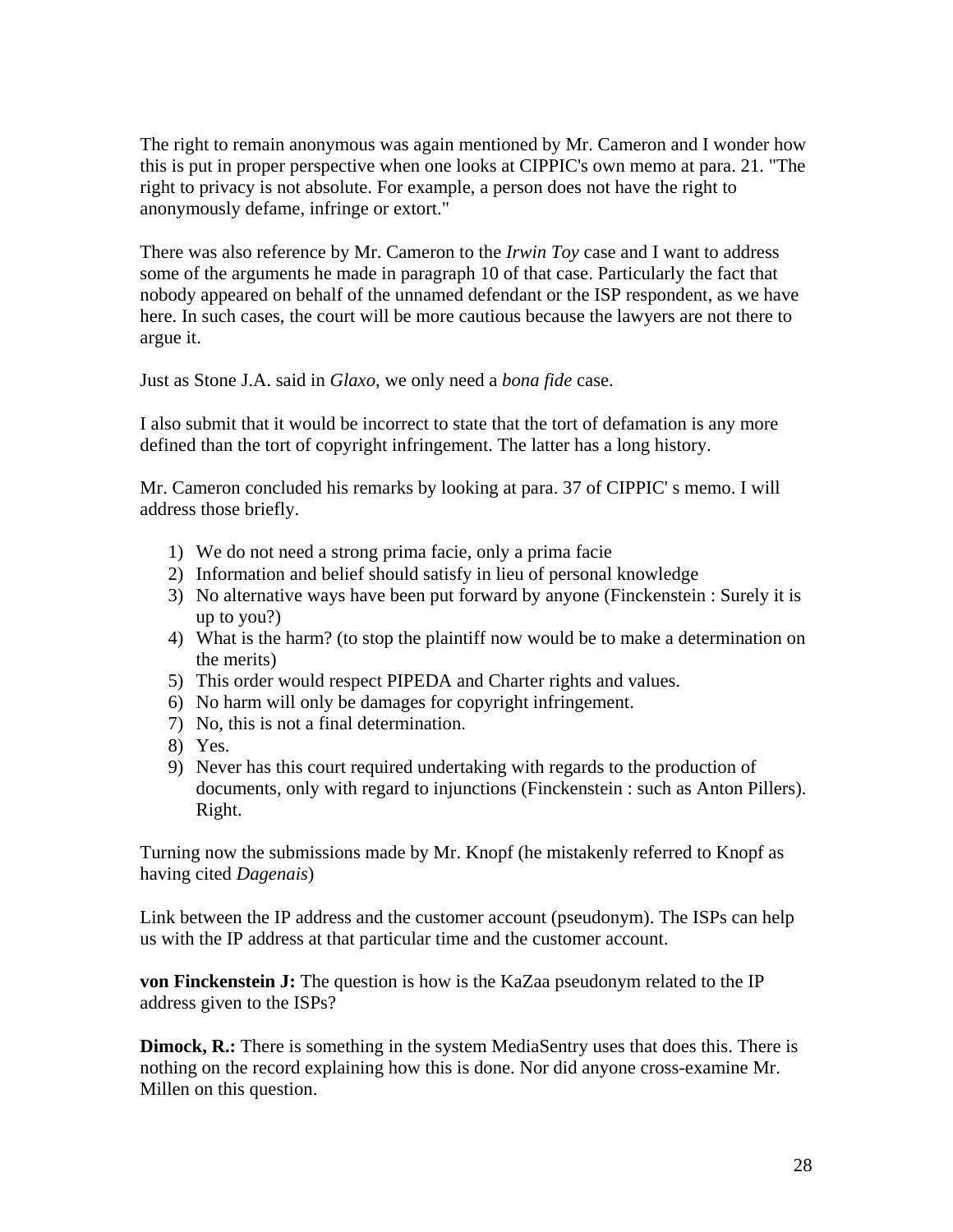The right to remain anonymous was again mentioned by Mr. Cameron and I wonder how this is put in proper perspective when one looks at CIPPIC's own memo at para. 21. "The right to privacy is not absolute. For example, a person does not have the right to anonymously defame, infringe or extort."

There was also reference by Mr. Cameron to the *Irwin Toy* case and I want to address some of the arguments he made in paragraph 10 of that case. Particularly the fact that nobody appeared on behalf of the unnamed defendant or the ISP respondent, as we have here. In such cases, the court will be more cautious because the lawyers are not there to argue it.

Just as Stone J.A. said in *Glaxo*, we only need a *bona fide* case.

I also submit that it would be incorrect to state that the tort of defamation is any more defined than the tort of copyright infringement. The latter has a long history.

Mr. Cameron concluded his remarks by looking at para. 37 of CIPPIC' s memo. I will address those briefly.

- 1) We do not need a strong prima facie, only a prima facie
- 2) Information and belief should satisfy in lieu of personal knowledge
- 3) No alternative ways have been put forward by anyone (Finckenstein : Surely it is up to you?)
- 4) What is the harm? (to stop the plaintiff now would be to make a determination on the merits)
- 5) This order would respect PIPEDA and Charter rights and values.
- 6) No harm will only be damages for copyright infringement.
- 7) No, this is not a final determination.
- 8) Yes.
- 9) Never has this court required undertaking with regards to the production of documents, only with regard to injunctions (Finckenstein : such as Anton Pillers). Right.

Turning now the submissions made by Mr. Knopf (he mistakenly referred to Knopf as having cited *Dagenais*)

Link between the IP address and the customer account (pseudonym). The ISPs can help us with the IP address at that particular time and the customer account.

**von Finckenstein J:** The question is how is the KaZaa pseudonym related to the IP address given to the ISPs?

**Dimock, R.:** There is something in the system MediaSentry uses that does this. There is nothing on the record explaining how this is done. Nor did anyone cross-examine Mr. Millen on this question.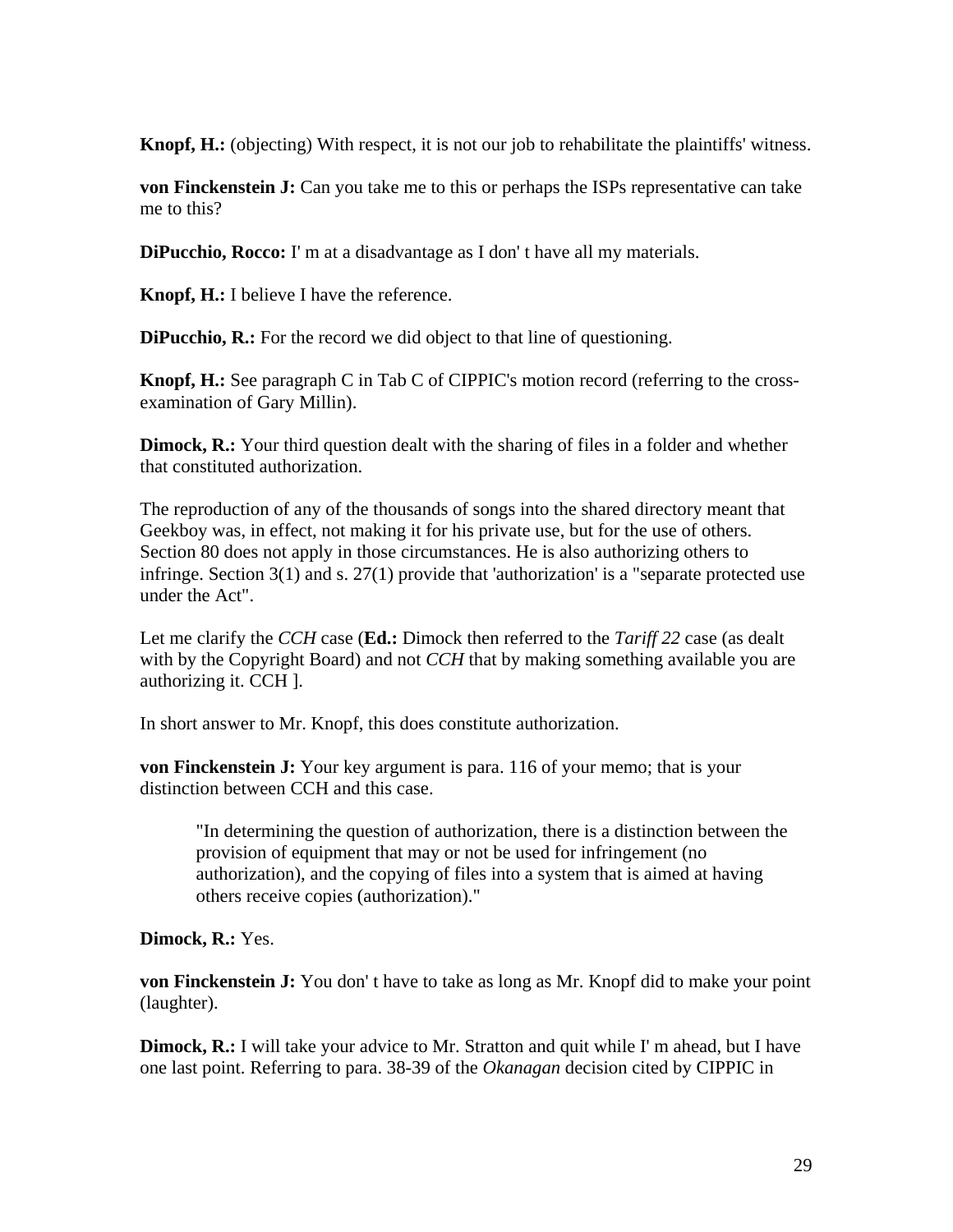**Knopf, H.:** (objecting) With respect, it is not our job to rehabilitate the plaintiffs' witness.

**von Finckenstein J:** Can you take me to this or perhaps the ISPs representative can take me to this?

**DiPucchio, Rocco:** I' m at a disadvantage as I don' t have all my materials.

**Knopf, H.:** I believe I have the reference.

**DiPucchio, R.:** For the record we did object to that line of questioning.

**Knopf, H.:** See paragraph C in Tab C of CIPPIC's motion record (referring to the crossexamination of Gary Millin).

**Dimock, R.:** Your third question dealt with the sharing of files in a folder and whether that constituted authorization.

The reproduction of any of the thousands of songs into the shared directory meant that Geekboy was, in effect, not making it for his private use, but for the use of others. Section 80 does not apply in those circumstances. He is also authorizing others to infringe. Section 3(1) and s. 27(1) provide that 'authorization' is a "separate protected use under the Act".

Let me clarify the *CCH* case (**Ed.:** Dimock then referred to the *Tariff 22* case (as dealt with by the Copyright Board) and not *CCH* that by making something available you are authorizing it. CCH ].

In short answer to Mr. Knopf, this does constitute authorization.

**von Finckenstein J:** Your key argument is para. 116 of your memo; that is your distinction between CCH and this case.

"In determining the question of authorization, there is a distinction between the provision of equipment that may or not be used for infringement (no authorization), and the copying of files into a system that is aimed at having others receive copies (authorization)."

### **Dimock, R.:** Yes.

**von Finckenstein J:** You don't have to take as long as Mr. Knopf did to make your point (laughter).

**Dimock, R.:** I will take your advice to Mr. Stratton and quit while I' m ahead, but I have one last point. Referring to para. 38-39 of the *Okanagan* decision cited by CIPPIC in